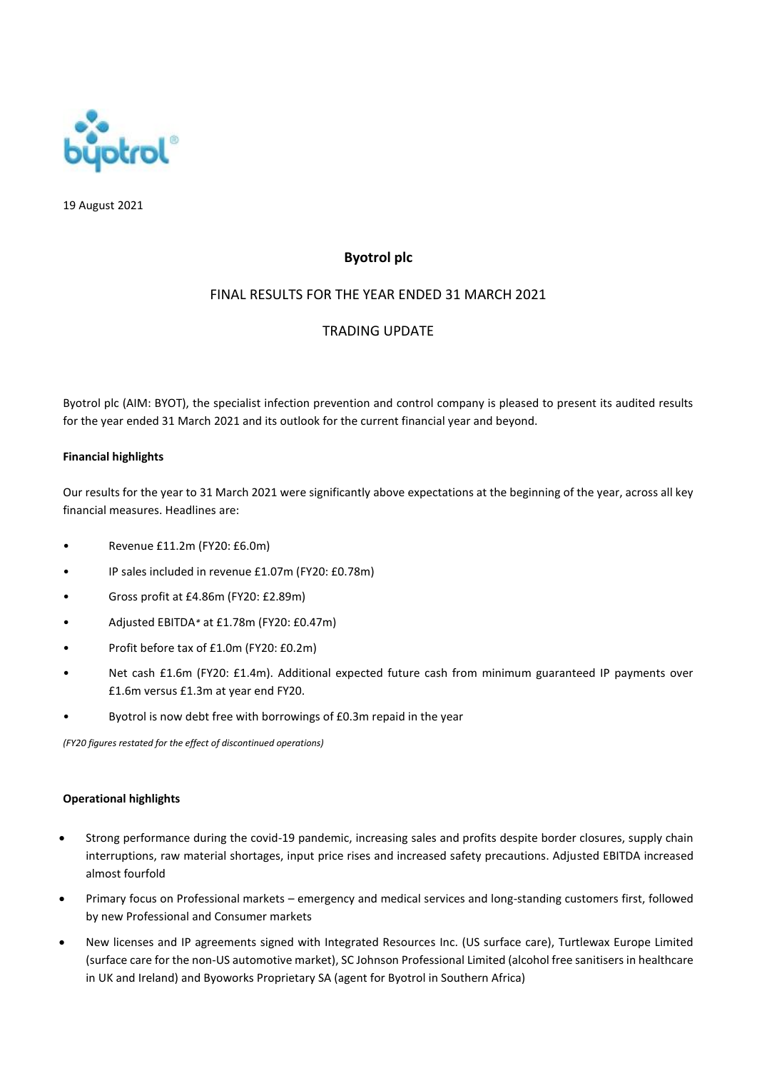

19 August 2021

# **Byotrol plc**

# FINAL RESULTS FOR THE YEAR ENDED 31 MARCH 2021

# TRADING UPDATE

Byotrol plc (AIM: BYOT), the specialist infection prevention and control company is pleased to present its audited results for the year ended 31 March 2021 and its outlook for the current financial year and beyond.

#### **Financial highlights**

Our results for the year to 31 March 2021 were significantly above expectations at the beginning of the year, across all key financial measures. Headlines are:

- Revenue £11.2m (FY20: £6.0m)
- IP sales included in revenue £1.07m (FY20: £0.78m)
- Gross profit at £4.86m (FY20: £2.89m)
- Adjusted EBITDA*\** at £1.78m (FY20: £0.47m)
- Profit before tax of £1.0m (FY20: £0.2m)
- Net cash £1.6m (FY20: £1.4m). Additional expected future cash from minimum guaranteed IP payments over £1.6m versus £1.3m at year end FY20.
- Byotrol is now debt free with borrowings of £0.3m repaid in the year

*(FY20 figures restated for the effect of discontinued operations)*

#### **Operational highlights**

- Strong performance during the covid-19 pandemic, increasing sales and profits despite border closures, supply chain interruptions, raw material shortages, input price rises and increased safety precautions. Adjusted EBITDA increased almost fourfold
- Primary focus on Professional markets emergency and medical services and long-standing customers first, followed by new Professional and Consumer markets
- New licenses and IP agreements signed with Integrated Resources Inc. (US surface care), Turtlewax Europe Limited (surface care for the non-US automotive market), SC Johnson Professional Limited (alcohol free sanitisers in healthcare in UK and Ireland) and Byoworks Proprietary SA (agent for Byotrol in Southern Africa)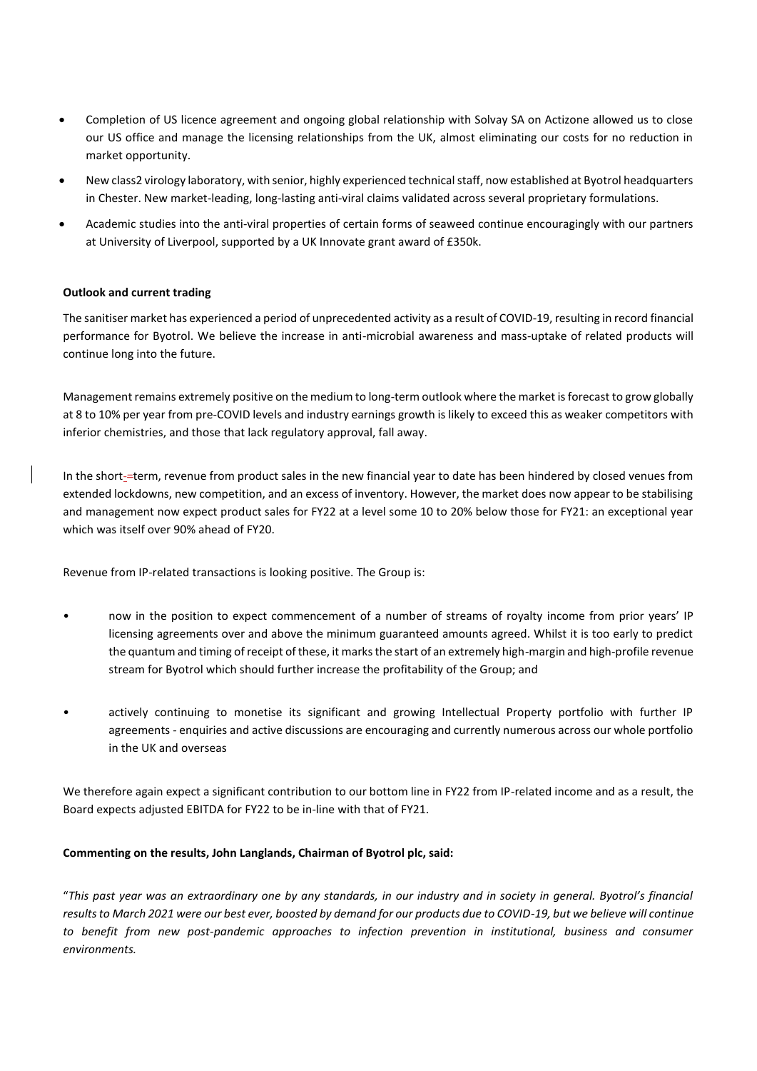- Completion of US licence agreement and ongoing global relationship with Solvay SA on Actizone allowed us to close our US office and manage the licensing relationships from the UK, almost eliminating our costs for no reduction in market opportunity.
- New class2 virology laboratory, with senior, highly experienced technical staff, now established at Byotrol headquarters in Chester. New market-leading, long-lasting anti-viral claims validated across several proprietary formulations.
- Academic studies into the anti-viral properties of certain forms of seaweed continue encouragingly with our partners at University of Liverpool, supported by a UK Innovate grant award of £350k.

### **Outlook and current trading**

The sanitiser market has experienced a period of unprecedented activity as a result of COVID-19, resulting in record financial performance for Byotrol. We believe the increase in anti-microbial awareness and mass-uptake of related products will continue long into the future.

Management remains extremely positive on the medium to long-term outlook where the market is forecast to grow globally at 8 to 10% per year from pre-COVID levels and industry earnings growth is likely to exceed this as weaker competitors with inferior chemistries, and those that lack regulatory approval, fall away.

In the short-=term, revenue from product sales in the new financial year to date has been hindered by closed venues from extended lockdowns, new competition, and an excess of inventory. However, the market does now appear to be stabilising and management now expect product sales for FY22 at a level some 10 to 20% below those for FY21: an exceptional year which was itself over 90% ahead of FY20.

Revenue from IP-related transactions is looking positive. The Group is:

- now in the position to expect commencement of a number of streams of royalty income from prior years' IP licensing agreements over and above the minimum guaranteed amounts agreed. Whilst it is too early to predict the quantum and timing of receipt of these, it marks the start of an extremely high-margin and high-profile revenue stream for Byotrol which should further increase the profitability of the Group; and
- actively continuing to monetise its significant and growing Intellectual Property portfolio with further IP agreements - enquiries and active discussions are encouraging and currently numerous across our whole portfolio in the UK and overseas

We therefore again expect a significant contribution to our bottom line in FY22 from IP-related income and as a result, the Board expects adjusted EBITDA for FY22 to be in-line with that of FY21.

#### **Commenting on the results, John Langlands, Chairman of Byotrol plc, said:**

"*This past year was an extraordinary one by any standards, in our industry and in society in general. Byotrol's financial results to March 2021 were our best ever, boosted by demand for our products due to COVID-19, but we believe will continue to benefit from new post-pandemic approaches to infection prevention in institutional, business and consumer environments.*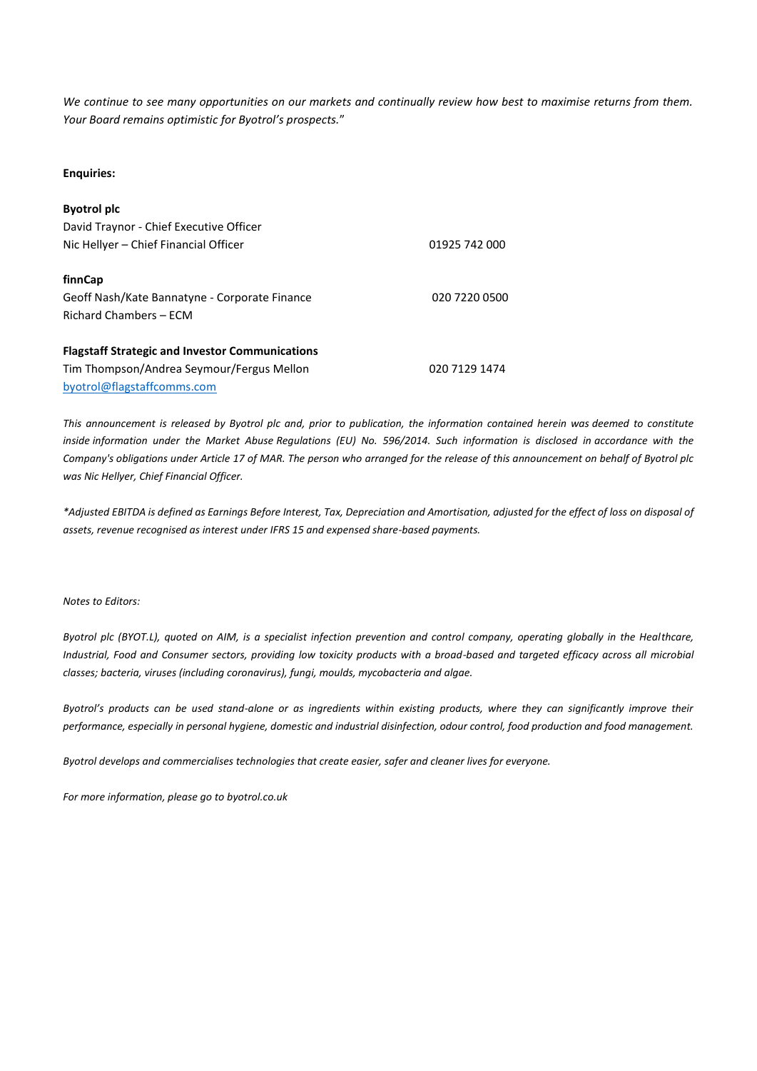*We continue to see many opportunities on our markets and continually review how best to maximise returns from them. Your Board remains optimistic for Byotrol's prospects.*"

#### **Enquiries:**

| <b>Byotrol plc</b>                                     |               |
|--------------------------------------------------------|---------------|
| David Traynor - Chief Executive Officer                |               |
| Nic Hellyer - Chief Financial Officer                  | 01925 742 000 |
| finnCap                                                |               |
| Geoff Nash/Kate Bannatyne - Corporate Finance          | 020 7220 0500 |
| Richard Chambers - ECM                                 |               |
| <b>Flagstaff Strategic and Investor Communications</b> |               |
| Tim Thompson/Andrea Seymour/Fergus Mellon              | 020 7129 1474 |
| byotrol@flagstaffcomms.com                             |               |

*This announcement is released by Byotrol plc and, prior to publication, the information contained herein was deemed to constitute inside information under the Market Abuse Regulations (EU) No. 596/2014. Such information is disclosed in accordance with the Company's obligations under Article 17 of MAR. The person who arranged for the release of this announcement on behalf of Byotrol plc was Nic Hellyer, Chief Financial Officer.*

*\*Adjusted EBITDA is defined as Earnings Before Interest, Tax, Depreciation and Amortisation, adjusted for the effect of loss on disposal of assets, revenue recognised as interest under IFRS 15 and expensed share-based payments.*

*Notes to Editors:*

*Byotrol plc (BYOT.L), quoted on AIM, is a specialist infection prevention and control company, operating globally in the Healthcare, Industrial, Food and Consumer sectors, providing low toxicity products with a broad-based and targeted efficacy across all microbial classes; bacteria, viruses (including coronavirus), fungi, moulds, mycobacteria and algae.* 

*Byotrol's products can be used stand-alone or as ingredients within existing products, where they can significantly improve their performance, especially in personal hygiene, domestic and industrial disinfection, odour control, food production and food management.* 

*Byotrol develops and commercialises technologies that create easier, safer and cleaner lives for everyone.*

*For more information, please go to byotrol.co.uk*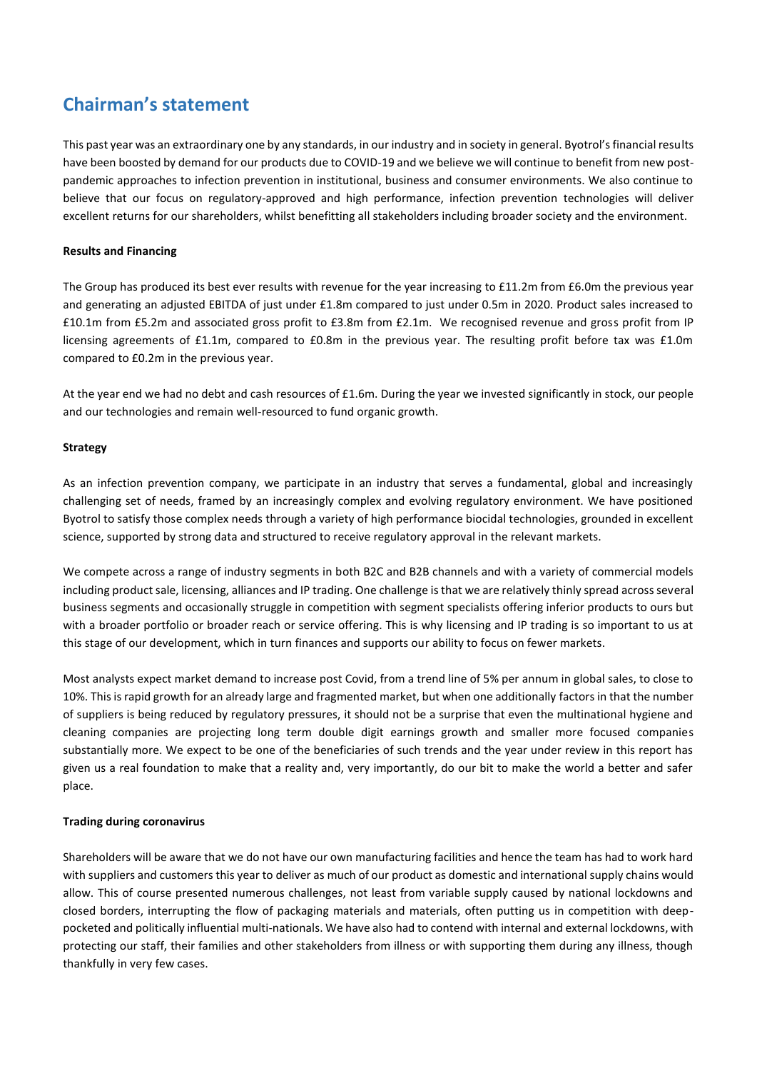# **Chairman's statement**

This past year was an extraordinary one by any standards, in our industry and in society in general. Byotrol's financial results have been boosted by demand for our products due to COVID-19 and we believe we will continue to benefit from new postpandemic approaches to infection prevention in institutional, business and consumer environments. We also continue to believe that our focus on regulatory-approved and high performance, infection prevention technologies will deliver excellent returns for our shareholders, whilst benefitting all stakeholders including broader society and the environment.

#### **Results and Financing**

The Group has produced its best ever results with revenue for the year increasing to £11.2m from £6.0m the previous year and generating an adjusted EBITDA of just under £1.8m compared to just under 0.5m in 2020. Product sales increased to £10.1m from £5.2m and associated gross profit to £3.8m from £2.1m. We recognised revenue and gross profit from IP licensing agreements of £1.1m, compared to £0.8m in the previous year. The resulting profit before tax was £1.0m compared to £0.2m in the previous year.

At the year end we had no debt and cash resources of £1.6m. During the year we invested significantly in stock, our people and our technologies and remain well-resourced to fund organic growth.

#### **Strategy**

As an infection prevention company, we participate in an industry that serves a fundamental, global and increasingly challenging set of needs, framed by an increasingly complex and evolving regulatory environment. We have positioned Byotrol to satisfy those complex needs through a variety of high performance biocidal technologies, grounded in excellent science, supported by strong data and structured to receive regulatory approval in the relevant markets.

We compete across a range of industry segments in both B2C and B2B channels and with a variety of commercial models including product sale, licensing, alliances and IP trading. One challenge is that we are relatively thinly spread across several business segments and occasionally struggle in competition with segment specialists offering inferior products to ours but with a broader portfolio or broader reach or service offering. This is why licensing and IP trading is so important to us at this stage of our development, which in turn finances and supports our ability to focus on fewer markets.

Most analysts expect market demand to increase post Covid, from a trend line of 5% per annum in global sales, to close to 10%. This is rapid growth for an already large and fragmented market, but when one additionally factors in that the number of suppliers is being reduced by regulatory pressures, it should not be a surprise that even the multinational hygiene and cleaning companies are projecting long term double digit earnings growth and smaller more focused companies substantially more. We expect to be one of the beneficiaries of such trends and the year under review in this report has given us a real foundation to make that a reality and, very importantly, do our bit to make the world a better and safer place.

# **Trading during coronavirus**

Shareholders will be aware that we do not have our own manufacturing facilities and hence the team has had to work hard with suppliers and customers this year to deliver as much of our product as domestic and international supply chains would allow. This of course presented numerous challenges, not least from variable supply caused by national lockdowns and closed borders, interrupting the flow of packaging materials and materials, often putting us in competition with deeppocketed and politically influential multi-nationals. We have also had to contend with internal and external lockdowns, with protecting our staff, their families and other stakeholders from illness or with supporting them during any illness, though thankfully in very few cases.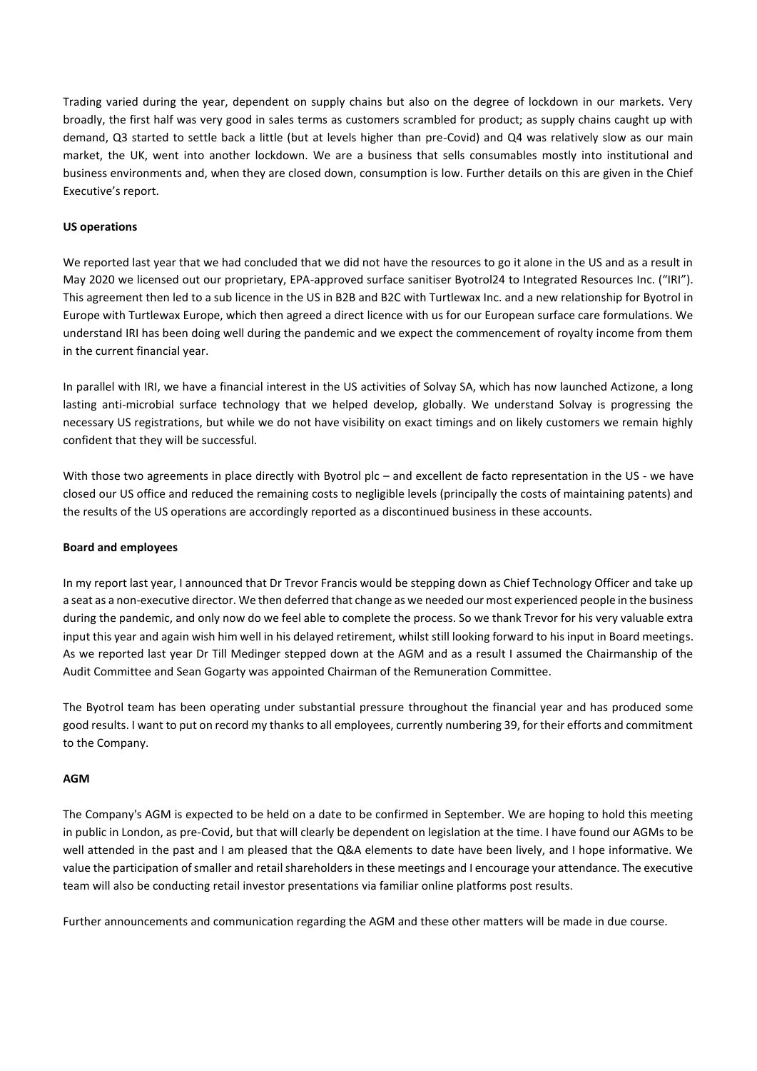Trading varied during the year, dependent on supply chains but also on the degree of lockdown in our markets. Very broadly, the first half was very good in sales terms as customers scrambled for product; as supply chains caught up with demand, Q3 started to settle back a little (but at levels higher than pre-Covid) and Q4 was relatively slow as our main market, the UK, went into another lockdown. We are a business that sells consumables mostly into institutional and business environments and, when they are closed down, consumption is low. Further details on this are given in the Chief Executive's report.

### **US operations**

We reported last year that we had concluded that we did not have the resources to go it alone in the US and as a result in May 2020 we licensed out our proprietary, EPA-approved surface sanitiser Byotrol24 to Integrated Resources Inc. ("IRI"). This agreement then led to a sub licence in the US in B2B and B2C with Turtlewax Inc. and a new relationship for Byotrol in Europe with Turtlewax Europe, which then agreed a direct licence with us for our European surface care formulations. We understand IRI has been doing well during the pandemic and we expect the commencement of royalty income from them in the current financial year.

In parallel with IRI, we have a financial interest in the US activities of Solvay SA, which has now launched Actizone, a long lasting anti-microbial surface technology that we helped develop, globally. We understand Solvay is progressing the necessary US registrations, but while we do not have visibility on exact timings and on likely customers we remain highly confident that they will be successful.

With those two agreements in place directly with Byotrol plc – and excellent de facto representation in the US - we have closed our US office and reduced the remaining costs to negligible levels (principally the costs of maintaining patents) and the results of the US operations are accordingly reported as a discontinued business in these accounts.

#### **Board and employees**

In my report last year, I announced that Dr Trevor Francis would be stepping down as Chief Technology Officer and take up a seat as a non-executive director. We then deferred that change as we needed our most experienced people in the business during the pandemic, and only now do we feel able to complete the process. So we thank Trevor for his very valuable extra input this year and again wish him well in his delayed retirement, whilst still looking forward to his input in Board meetings. As we reported last year Dr Till Medinger stepped down at the AGM and as a result I assumed the Chairmanship of the Audit Committee and Sean Gogarty was appointed Chairman of the Remuneration Committee.

The Byotrol team has been operating under substantial pressure throughout the financial year and has produced some good results. I want to put on record my thanks to all employees, currently numbering 39, for their efforts and commitment to the Company.

#### **AGM**

The Company's AGM is expected to be held on a date to be confirmed in September. We are hoping to hold this meeting in public in London, as pre-Covid, but that will clearly be dependent on legislation at the time. I have found our AGMs to be well attended in the past and I am pleased that the Q&A elements to date have been lively, and I hope informative. We value the participation of smaller and retail shareholders in these meetings and I encourage your attendance. The executive team will also be conducting retail investor presentations via familiar online platforms post results.

Further announcements and communication regarding the AGM and these other matters will be made in due course.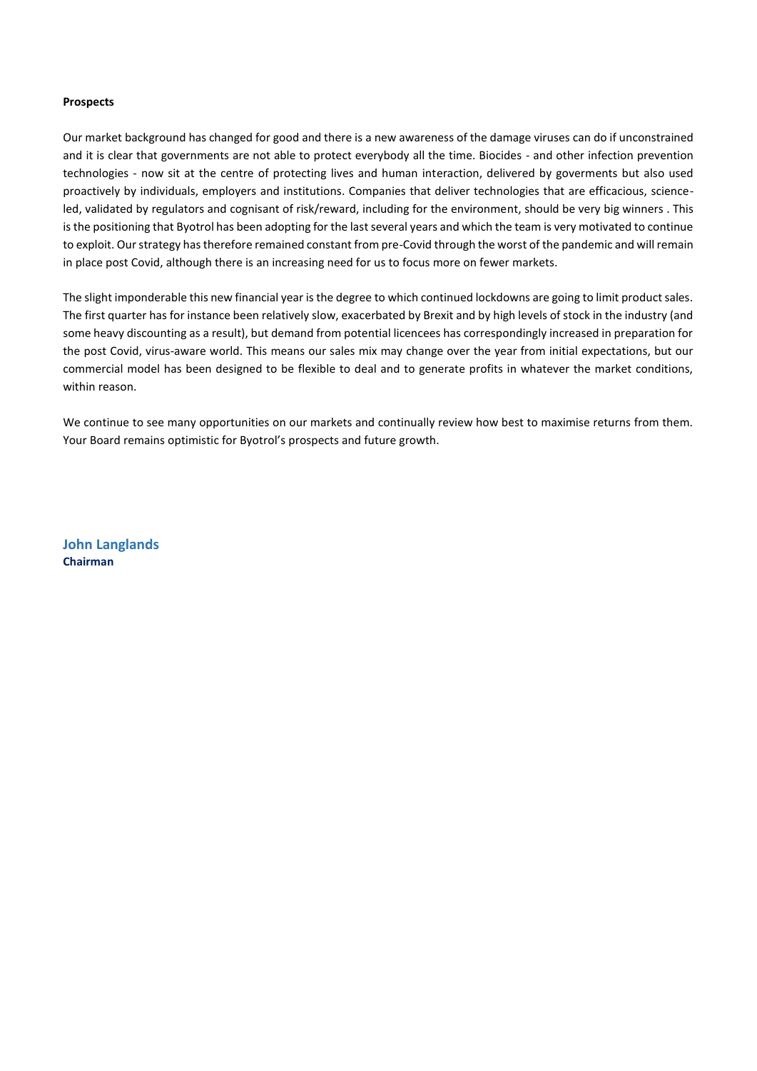#### **Prospects**

Our market background has changed for good and there is a new awareness of the damage viruses can do if unconstrained and it is clear that governments are not able to protect everybody all the time. Biocides - and other infection prevention technologies - now sit at the centre of protecting lives and human interaction, delivered by goverments but also used proactively by individuals, employers and institutions. Companies that deliver technologies that are efficacious, scienceled, validated by regulators and cognisant of risk/reward, including for the environment, should be very big winners . This is the positioning that Byotrol has been adopting for the last several years and which the team is very motivated to continue to exploit. Our strategy has therefore remained constant from pre-Covid through the worst of the pandemic and will remain in place post Covid, although there is an increasing need for us to focus more on fewer markets.

The slight imponderable this new financial year is the degree to which continued lockdowns are going to limit product sales. The first quarter has for instance been relatively slow, exacerbated by Brexit and by high levels of stock in the industry (and some heavy discounting as a result), but demand from potential licencees has correspondingly increased in preparation for the post Covid, virus-aware world. This means our sales mix may change over the year from initial expectations, but our commercial model has been designed to be flexible to deal and to generate profits in whatever the market conditions, within reason.

We continue to see many opportunities on our markets and continually review how best to maximise returns from them. Your Board remains optimistic for Byotrol's prospects and future growth.

**John Langlands Chairman**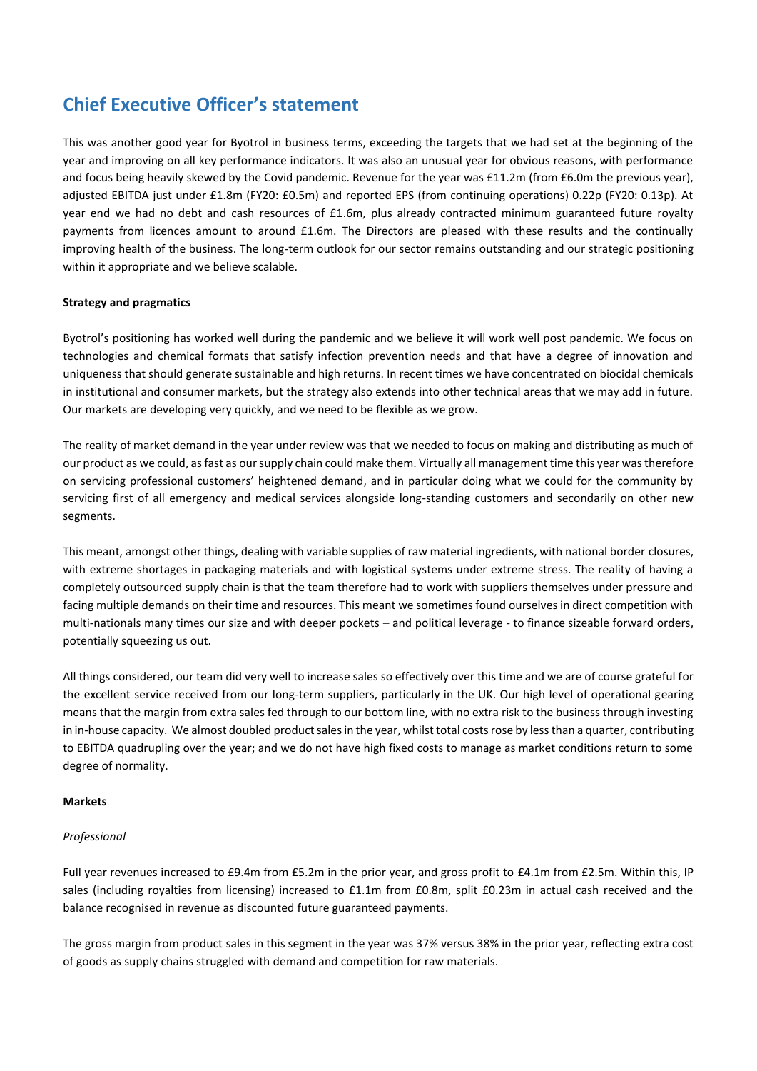# **Chief Executive Officer's statement**

This was another good year for Byotrol in business terms, exceeding the targets that we had set at the beginning of the year and improving on all key performance indicators. It was also an unusual year for obvious reasons, with performance and focus being heavily skewed by the Covid pandemic. Revenue for the year was £11.2m (from £6.0m the previous year), adjusted EBITDA just under £1.8m (FY20: £0.5m) and reported EPS (from continuing operations) 0.22p (FY20: 0.13p). At year end we had no debt and cash resources of £1.6m, plus already contracted minimum guaranteed future royalty payments from licences amount to around £1.6m. The Directors are pleased with these results and the continually improving health of the business. The long-term outlook for our sector remains outstanding and our strategic positioning within it appropriate and we believe scalable.

#### **Strategy and pragmatics**

Byotrol's positioning has worked well during the pandemic and we believe it will work well post pandemic. We focus on technologies and chemical formats that satisfy infection prevention needs and that have a degree of innovation and uniqueness that should generate sustainable and high returns. In recent times we have concentrated on biocidal chemicals in institutional and consumer markets, but the strategy also extends into other technical areas that we may add in future. Our markets are developing very quickly, and we need to be flexible as we grow.

The reality of market demand in the year under review was that we needed to focus on making and distributing as much of our product as we could, as fast as our supply chain could make them. Virtually all management time this year was therefore on servicing professional customers' heightened demand, and in particular doing what we could for the community by servicing first of all emergency and medical services alongside long-standing customers and secondarily on other new segments.

This meant, amongst other things, dealing with variable supplies of raw material ingredients, with national border closures, with extreme shortages in packaging materials and with logistical systems under extreme stress. The reality of having a completely outsourced supply chain is that the team therefore had to work with suppliers themselves under pressure and facing multiple demands on their time and resources. This meant we sometimes found ourselves in direct competition with multi-nationals many times our size and with deeper pockets – and political leverage - to finance sizeable forward orders, potentially squeezing us out.

All things considered, our team did very well to increase sales so effectively over this time and we are of course grateful for the excellent service received from our long-term suppliers, particularly in the UK. Our high level of operational gearing means that the margin from extra sales fed through to our bottom line, with no extra risk to the business through investing in in-house capacity. We almost doubled product sales in the year, whilst total costs rose by less than a quarter, contributing to EBITDA quadrupling over the year; and we do not have high fixed costs to manage as market conditions return to some degree of normality.

#### **Markets**

#### *Professional*

Full year revenues increased to £9.4m from £5.2m in the prior year, and gross profit to £4.1m from £2.5m. Within this, IP sales (including royalties from licensing) increased to £1.1m from £0.8m, split £0.23m in actual cash received and the balance recognised in revenue as discounted future guaranteed payments.

The gross margin from product sales in this segment in the year was 37% versus 38% in the prior year, reflecting extra cost of goods as supply chains struggled with demand and competition for raw materials.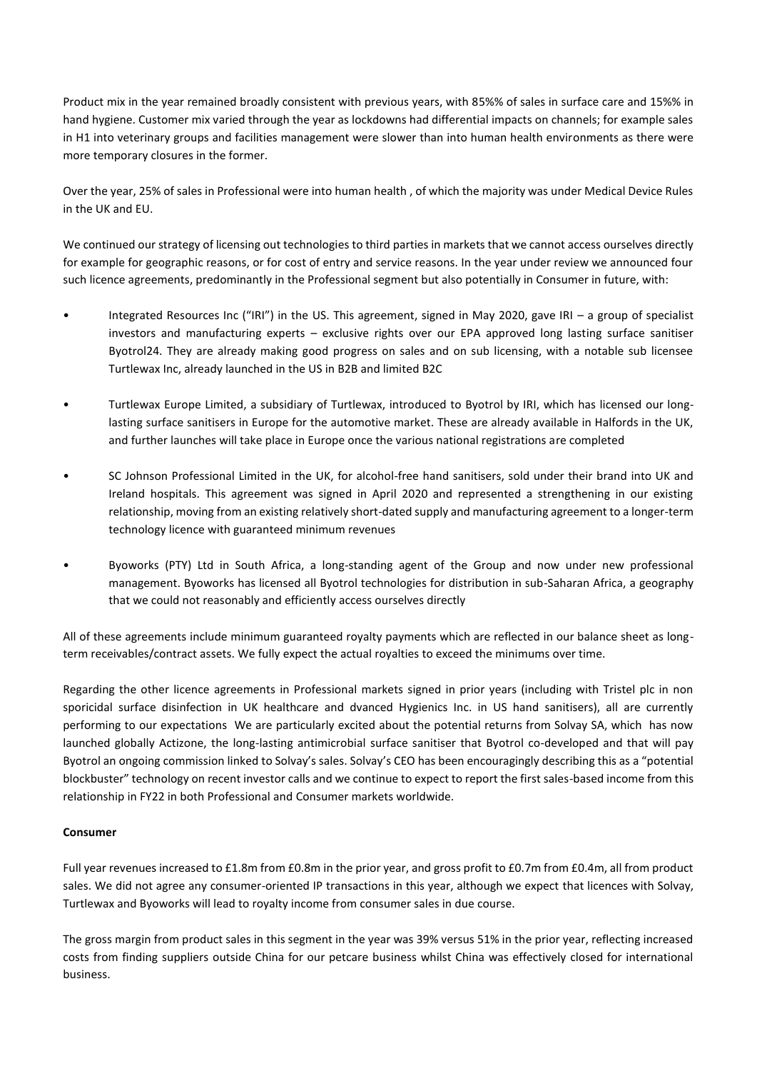Product mix in the year remained broadly consistent with previous years, with 85%% of sales in surface care and 15%% in hand hygiene. Customer mix varied through the year as lockdowns had differential impacts on channels; for example sales in H1 into veterinary groups and facilities management were slower than into human health environments as there were more temporary closures in the former.

Over the year, 25% of sales in Professional were into human health , of which the majority was under Medical Device Rules in the UK and EU.

We continued our strategy of licensing out technologies to third parties in markets that we cannot access ourselves directly for example for geographic reasons, or for cost of entry and service reasons. In the year under review we announced four such licence agreements, predominantly in the Professional segment but also potentially in Consumer in future, with:

- Integrated Resources Inc ("IRI") in the US. This agreement, signed in May 2020, gave IRI a group of specialist investors and manufacturing experts – exclusive rights over our EPA approved long lasting surface sanitiser Byotrol24. They are already making good progress on sales and on sub licensing, with a notable sub licensee Turtlewax Inc, already launched in the US in B2B and limited B2C
- Turtlewax Europe Limited, a subsidiary of Turtlewax, introduced to Byotrol by IRI, which has licensed our longlasting surface sanitisers in Europe for the automotive market. These are already available in Halfords in the UK, and further launches will take place in Europe once the various national registrations are completed
- SC Johnson Professional Limited in the UK, for alcohol-free hand sanitisers, sold under their brand into UK and Ireland hospitals. This agreement was signed in April 2020 and represented a strengthening in our existing relationship, moving from an existing relatively short-dated supply and manufacturing agreement to a longer-term technology licence with guaranteed minimum revenues
- Byoworks (PTY) Ltd in South Africa, a long-standing agent of the Group and now under new professional management. Byoworks has licensed all Byotrol technologies for distribution in sub-Saharan Africa, a geography that we could not reasonably and efficiently access ourselves directly

All of these agreements include minimum guaranteed royalty payments which are reflected in our balance sheet as longterm receivables/contract assets. We fully expect the actual royalties to exceed the minimums over time.

Regarding the other licence agreements in Professional markets signed in prior years (including with Tristel plc in non sporicidal surface disinfection in UK healthcare and dvanced Hygienics Inc. in US hand sanitisers), all are currently performing to our expectations We are particularly excited about the potential returns from Solvay SA, which has now launched globally Actizone, the long-lasting antimicrobial surface sanitiser that Byotrol co-developed and that will pay Byotrol an ongoing commission linked to Solvay's sales. Solvay's CEO has been encouragingly describing this as a "potential blockbuster" technology on recent investor calls and we continue to expect to report the first sales-based income from this relationship in FY22 in both Professional and Consumer markets worldwide.

#### **Consumer**

Full year revenues increased to £1.8m from £0.8m in the prior year, and gross profit to £0.7m from £0.4m, all from product sales. We did not agree any consumer-oriented IP transactions in this year, although we expect that licences with Solvay, Turtlewax and Byoworks will lead to royalty income from consumer sales in due course.

The gross margin from product sales in this segment in the year was 39% versus 51% in the prior year, reflecting increased costs from finding suppliers outside China for our petcare business whilst China was effectively closed for international business.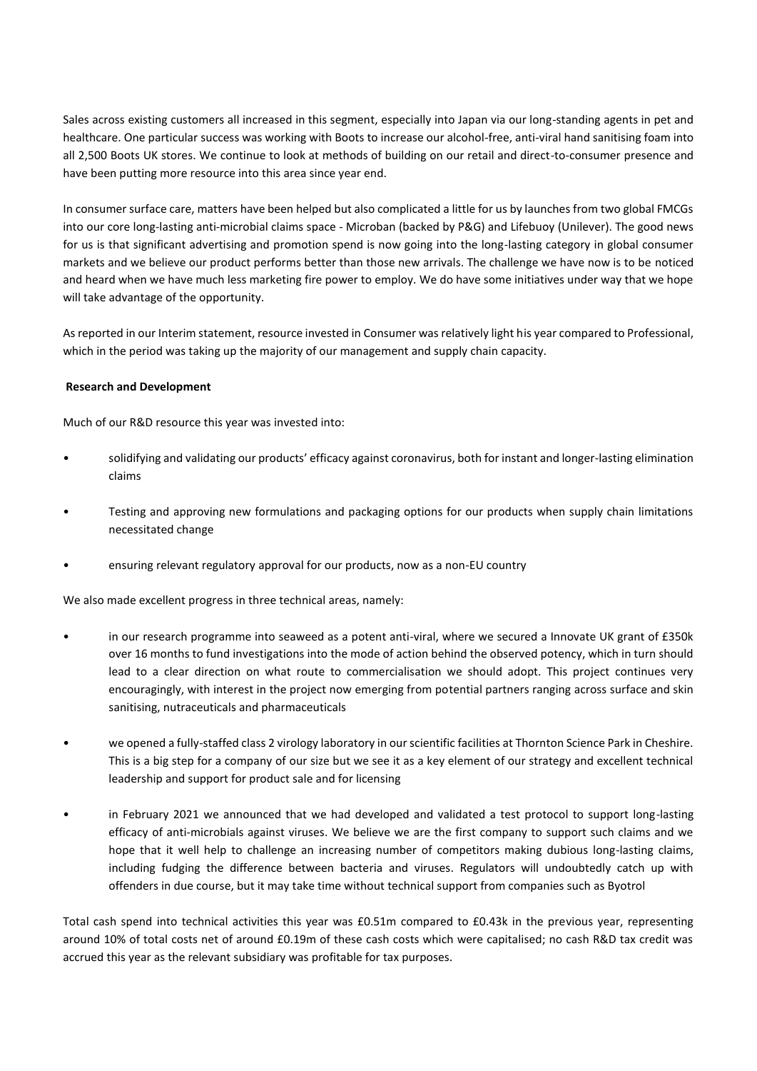Sales across existing customers all increased in this segment, especially into Japan via our long-standing agents in pet and healthcare. One particular success was working with Boots to increase our alcohol-free, anti-viral hand sanitising foam into all 2,500 Boots UK stores. We continue to look at methods of building on our retail and direct-to-consumer presence and have been putting more resource into this area since year end.

In consumer surface care, matters have been helped but also complicated a little for us by launches from two global FMCGs into our core long-lasting anti-microbial claims space - Microban (backed by P&G) and Lifebuoy (Unilever). The good news for us is that significant advertising and promotion spend is now going into the long-lasting category in global consumer markets and we believe our product performs better than those new arrivals. The challenge we have now is to be noticed and heard when we have much less marketing fire power to employ. We do have some initiatives under way that we hope will take advantage of the opportunity.

As reported in our Interim statement, resource invested in Consumer was relatively light his year compared to Professional, which in the period was taking up the majority of our management and supply chain capacity.

#### **Research and Development**

Much of our R&D resource this year was invested into:

- solidifying and validating our products' efficacy against coronavirus, both for instant and longer-lasting elimination claims
- Testing and approving new formulations and packaging options for our products when supply chain limitations necessitated change
- ensuring relevant regulatory approval for our products, now as a non-EU country

We also made excellent progress in three technical areas, namely:

- in our research programme into seaweed as a potent anti-viral, where we secured a Innovate UK grant of £350k over 16 months to fund investigations into the mode of action behind the observed potency, which in turn should lead to a clear direction on what route to commercialisation we should adopt. This project continues very encouragingly, with interest in the project now emerging from potential partners ranging across surface and skin sanitising, nutraceuticals and pharmaceuticals
- we opened a fully-staffed class 2 virology laboratory in our scientific facilities at Thornton Science Park in Cheshire. This is a big step for a company of our size but we see it as a key element of our strategy and excellent technical leadership and support for product sale and for licensing
- in February 2021 we announced that we had developed and validated a test protocol to support long-lasting efficacy of anti-microbials against viruses. We believe we are the first company to support such claims and we hope that it well help to challenge an increasing number of competitors making dubious long-lasting claims, including fudging the difference between bacteria and viruses. Regulators will undoubtedly catch up with offenders in due course, but it may take time without technical support from companies such as Byotrol

Total cash spend into technical activities this year was £0.51m compared to £0.43k in the previous year, representing around 10% of total costs net of around £0.19m of these cash costs which were capitalised; no cash R&D tax credit was accrued this year as the relevant subsidiary was profitable for tax purposes.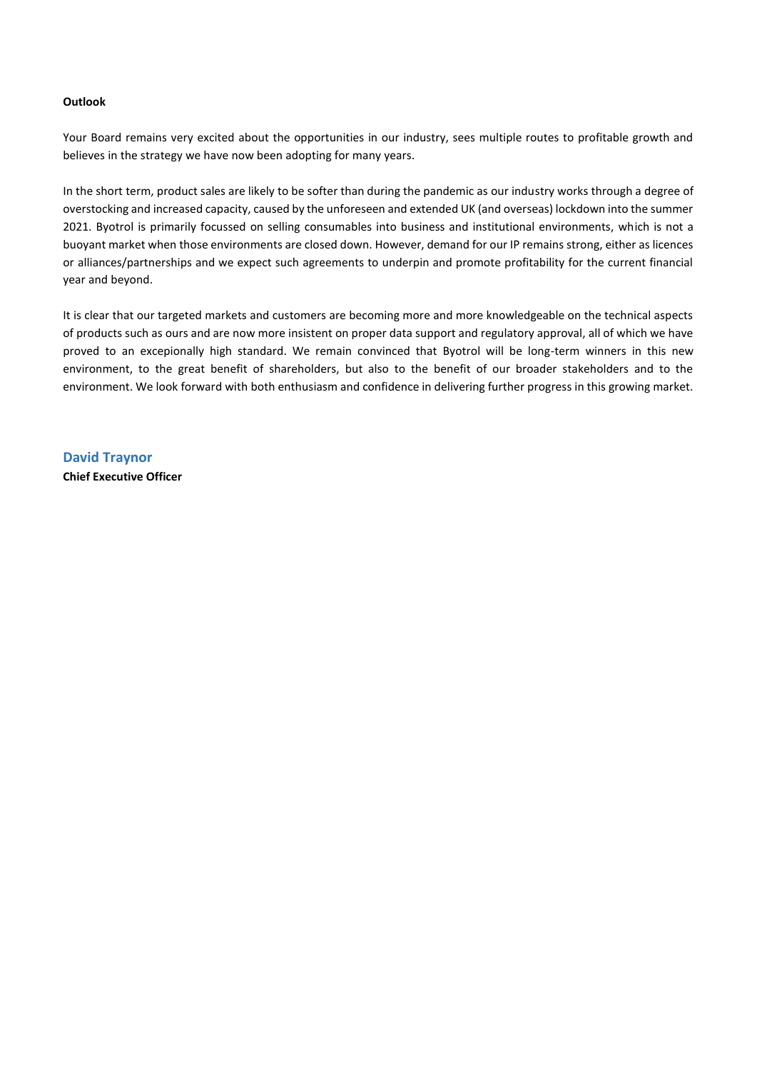#### **Outlook**

Your Board remains very excited about the opportunities in our industry, sees multiple routes to profitable growth and believes in the strategy we have now been adopting for many years.

In the short term, product sales are likely to be softer than during the pandemic as our industry works through a degree of overstocking and increased capacity, caused by the unforeseen and extended UK (and overseas) lockdown into the summer 2021. Byotrol is primarily focussed on selling consumables into business and institutional environments, which is not a buoyant market when those environments are closed down. However, demand for our IP remains strong, either as licences or alliances/partnerships and we expect such agreements to underpin and promote profitability for the current financial year and beyond.

It is clear that our targeted markets and customers are becoming more and more knowledgeable on the technical aspects of products such as ours and are now more insistent on proper data support and regulatory approval, all of which we have proved to an excepionally high standard. We remain convinced that Byotrol will be long-term winners in this new environment, to the great benefit of shareholders, but also to the benefit of our broader stakeholders and to the environment. We look forward with both enthusiasm and confidence in delivering further progress in this growing market.

**David Traynor Chief Executive Officer**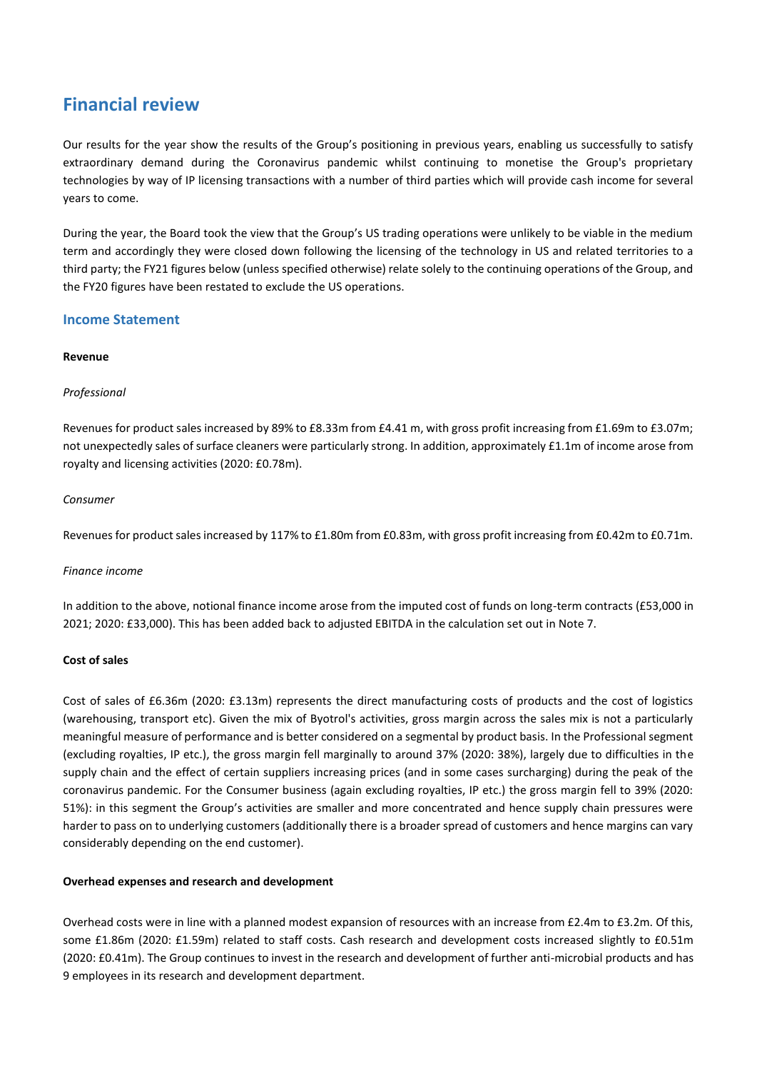# **Financial review**

Our results for the year show the results of the Group's positioning in previous years, enabling us successfully to satisfy extraordinary demand during the Coronavirus pandemic whilst continuing to monetise the Group's proprietary technologies by way of IP licensing transactions with a number of third parties which will provide cash income for several years to come.

During the year, the Board took the view that the Group's US trading operations were unlikely to be viable in the medium term and accordingly they were closed down following the licensing of the technology in US and related territories to a third party; the FY21 figures below (unless specified otherwise) relate solely to the continuing operations of the Group, and the FY20 figures have been restated to exclude the US operations.

# **Income Statement**

#### **Revenue**

### *Professional*

Revenues for product sales increased by 89% to £8.33m from £4.41 m, with gross profit increasing from £1.69m to £3.07m; not unexpectedly sales of surface cleaners were particularly strong. In addition, approximately £1.1m of income arose from royalty and licensing activities (2020: £0.78m).

#### *Consumer*

Revenues for product sales increased by 117% to £1.80m from £0.83m, with gross profit increasing from £0.42m to £0.71m.

#### *Finance income*

In addition to the above, notional finance income arose from the imputed cost of funds on long-term contracts (£53,000 in 2021; 2020: £33,000). This has been added back to adjusted EBITDA in the calculation set out in Note 7.

### **Cost of sales**

Cost of sales of £6.36m (2020: £3.13m) represents the direct manufacturing costs of products and the cost of logistics (warehousing, transport etc). Given the mix of Byotrol's activities, gross margin across the sales mix is not a particularly meaningful measure of performance and is better considered on a segmental by product basis. In the Professional segment (excluding royalties, IP etc.), the gross margin fell marginally to around 37% (2020: 38%), largely due to difficulties in the supply chain and the effect of certain suppliers increasing prices (and in some cases surcharging) during the peak of the coronavirus pandemic. For the Consumer business (again excluding royalties, IP etc.) the gross margin fell to 39% (2020: 51%): in this segment the Group's activities are smaller and more concentrated and hence supply chain pressures were harder to pass on to underlying customers (additionally there is a broader spread of customers and hence margins can vary considerably depending on the end customer).

#### **Overhead expenses and research and development**

Overhead costs were in line with a planned modest expansion of resources with an increase from £2.4m to £3.2m. Of this, some £1.86m (2020: £1.59m) related to staff costs. Cash research and development costs increased slightly to £0.51m (2020: £0.41m). The Group continues to invest in the research and development of further anti-microbial products and has 9 employees in its research and development department.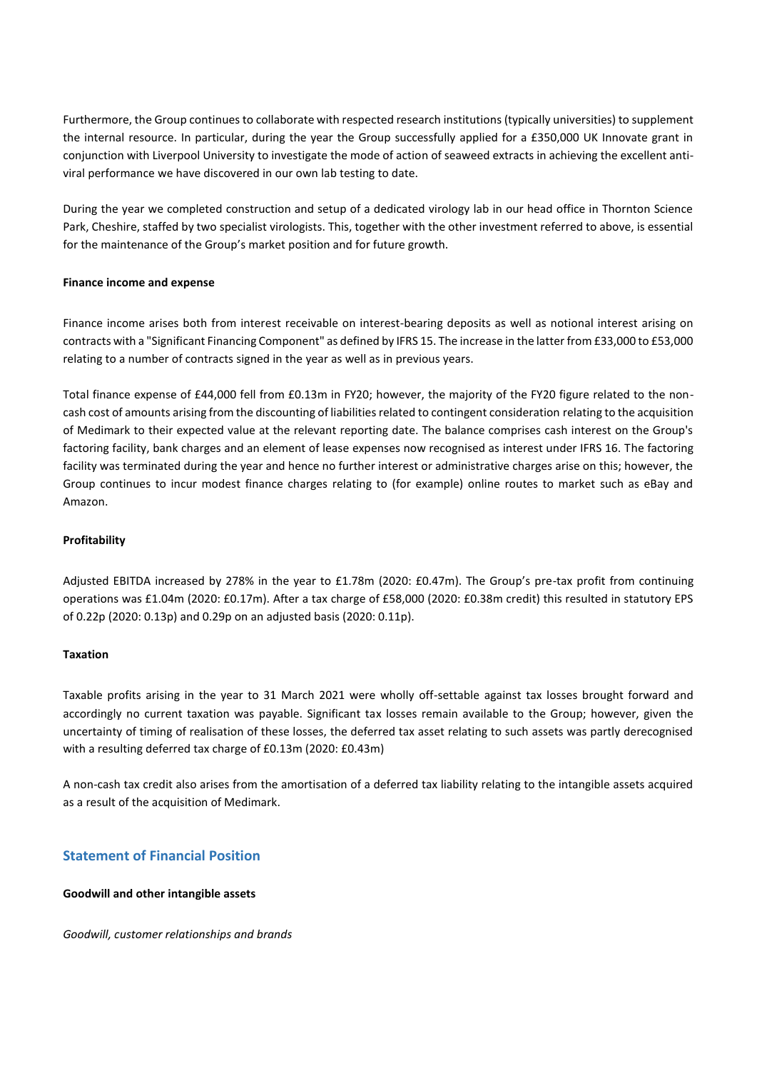Furthermore, the Group continues to collaborate with respected research institutions (typically universities) to supplement the internal resource. In particular, during the year the Group successfully applied for a £350,000 UK Innovate grant in conjunction with Liverpool University to investigate the mode of action of seaweed extracts in achieving the excellent antiviral performance we have discovered in our own lab testing to date.

During the year we completed construction and setup of a dedicated virology lab in our head office in Thornton Science Park, Cheshire, staffed by two specialist virologists. This, together with the other investment referred to above, is essential for the maintenance of the Group's market position and for future growth.

#### **Finance income and expense**

Finance income arises both from interest receivable on interest-bearing deposits as well as notional interest arising on contracts with a "Significant Financing Component" as defined by IFRS 15. The increase in the latter from £33,000 to £53,000 relating to a number of contracts signed in the year as well as in previous years.

Total finance expense of £44,000 fell from £0.13m in FY20; however, the majority of the FY20 figure related to the noncash cost of amounts arising from the discounting of liabilities related to contingent consideration relating to the acquisition of Medimark to their expected value at the relevant reporting date. The balance comprises cash interest on the Group's factoring facility, bank charges and an element of lease expenses now recognised as interest under IFRS 16. The factoring facility was terminated during the year and hence no further interest or administrative charges arise on this; however, the Group continues to incur modest finance charges relating to (for example) online routes to market such as eBay and Amazon.

### **Profitability**

Adjusted EBITDA increased by 278% in the year to £1.78m (2020: £0.47m). The Group's pre-tax profit from continuing operations was £1.04m (2020: £0.17m). After a tax charge of £58,000 (2020: £0.38m credit) this resulted in statutory EPS of 0.22p (2020: 0.13p) and 0.29p on an adjusted basis (2020: 0.11p).

#### **Taxation**

Taxable profits arising in the year to 31 March 2021 were wholly off-settable against tax losses brought forward and accordingly no current taxation was payable. Significant tax losses remain available to the Group; however, given the uncertainty of timing of realisation of these losses, the deferred tax asset relating to such assets was partly derecognised with a resulting deferred tax charge of £0.13m (2020: £0.43m)

A non-cash tax credit also arises from the amortisation of a deferred tax liability relating to the intangible assets acquired as a result of the acquisition of Medimark.

# **Statement of Financial Position**

#### **Goodwill and other intangible assets**

*Goodwill, customer relationships and brands*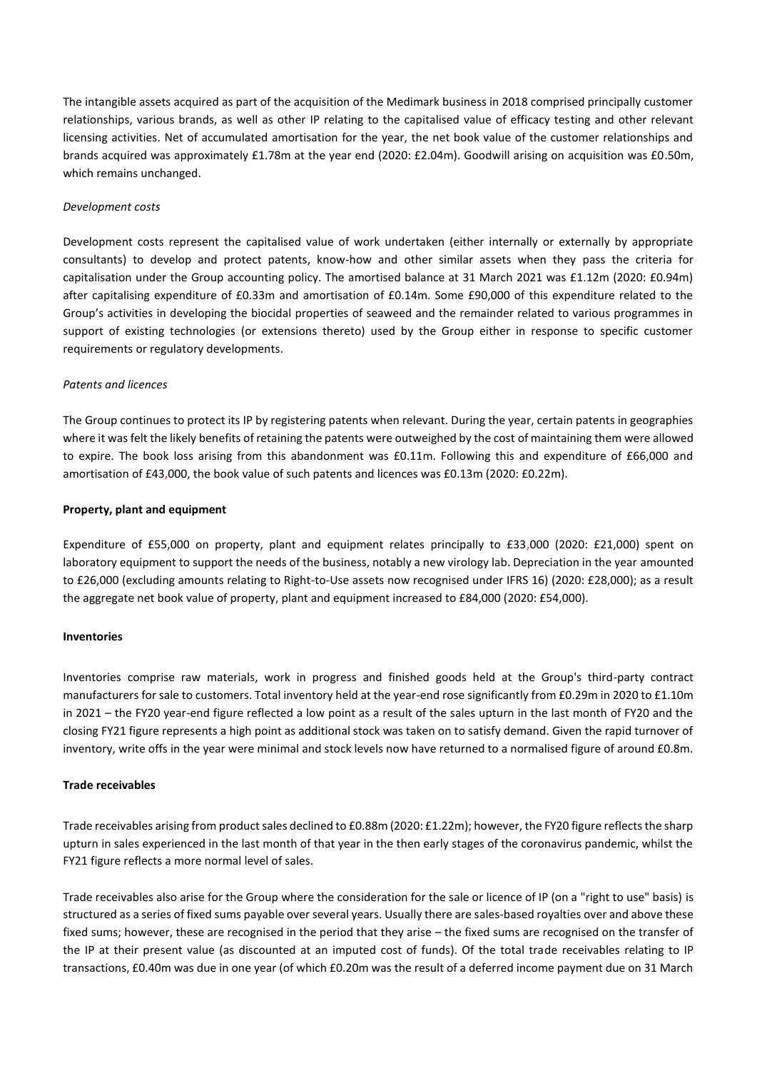The intangible assets acquired as part of the acquisition of the Medimark business in 2018 comprised principally customer relationships, various brands, as well as other IP relating to the capitalised value of efficacy testing and other relevant licensing activities. Net of accumulated amortisation for the year, the net book value of the customer relationships and brands acquired was approximately £1.78m at the year end (2020: £2.04m). Goodwill arising on acquisition was £0.50m, which remains unchanged.

#### *Development costs*

Development costs represent the capitalised value of work undertaken (either internally or externally by appropriate consultants) to develop and protect patents, know-how and other similar assets when they pass the criteria for capitalisation under the Group accounting policy. The amortised balance at 31 March 2021 was £1.12m (2020: £0.94m) after capitalising expenditure of £0.33m and amortisation of £0.14m. Some £90,000 of this expenditure related to the Group's activities in developing the biocidal properties of seaweed and the remainder related to various programmes in support of existing technologies (or extensions thereto) used by the Group either in response to specific customer requirements or regulatory developments.

#### *Patents and licences*

The Group continues to protect its IP by registering patents when relevant. During the year, certain patents in geographies where it was felt the likely benefits of retaining the patents were outweighed by the cost of maintaining them were allowed to expire. The book loss arising from this abandonment was £0.11m. Following this and expenditure of £66,000 and amortisation of £43,000, the book value of such patents and licences was £0.13m (2020: £0.22m).

#### **Property, plant and equipment**

Expenditure of £55,000 on property, plant and equipment relates principally to £33,000 (2020: £21,000) spent on laboratory equipment to support the needs of the business, notably a new virology lab. Depreciation in the year amounted to £26,000 (excluding amounts relating to Right-to-Use assets now recognised under IFRS 16) (2020: £28,000); as a result the aggregate net book value of property, plant and equipment increased to £84,000 (2020: £54,000).

#### **Inventories**

Inventories comprise raw materials, work in progress and finished goods held at the Group's third-party contract manufacturers for sale to customers. Total inventory held at the year-end rose significantly from £0.29m in 2020 to £1.10m in 2021 – the FY20 year-end figure reflected a low point as a result of the sales upturn in the last month of FY20 and the closing FY21 figure represents a high point as additional stock was taken on to satisfy demand. Given the rapid turnover of inventory, write offs in the year were minimal and stock levels now have returned to a normalised figure of around £0.8m.

#### **Trade receivables**

Trade receivables arising from product sales declined to £0.88m (2020: £1.22m); however, the FY20 figure reflects the sharp upturn in sales experienced in the last month of that year in the then early stages of the coronavirus pandemic, whilst the FY21 figure reflects a more normal level of sales.

Trade receivables also arise for the Group where the consideration for the sale or licence of IP (on a "right to use" basis) is structured as a series of fixed sums payable over several years. Usually there are sales-based royalties over and above these fixed sums; however, these are recognised in the period that they arise – the fixed sums are recognised on the transfer of the IP at their present value (as discounted at an imputed cost of funds). Of the total trade receivables relating to IP transactions, £0.40m was due in one year (of which £0.20m was the result of a deferred income payment due on 31 March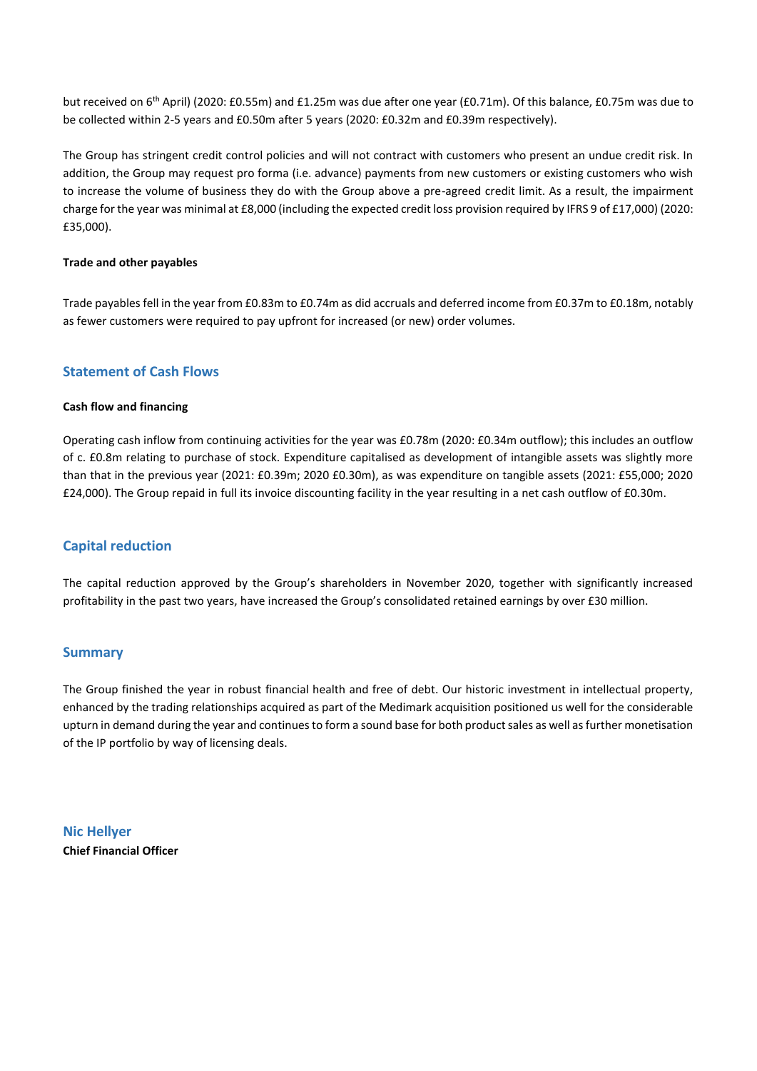but received on 6<sup>th</sup> April) (2020: £0.55m) and £1.25m was due after one year (£0.71m). Of this balance, £0.75m was due to be collected within 2-5 years and £0.50m after 5 years (2020: £0.32m and £0.39m respectively).

The Group has stringent credit control policies and will not contract with customers who present an undue credit risk. In addition, the Group may request pro forma (i.e. advance) payments from new customers or existing customers who wish to increase the volume of business they do with the Group above a pre-agreed credit limit. As a result, the impairment charge for the year was minimal at £8,000 (including the expected credit loss provision required by IFRS 9 of £17,000) (2020: £35,000).

#### **Trade and other payables**

Trade payables fell in the year from £0.83m to £0.74m as did accruals and deferred income from £0.37m to £0.18m, notably as fewer customers were required to pay upfront for increased (or new) order volumes.

# **Statement of Cash Flows**

#### **Cash flow and financing**

Operating cash inflow from continuing activities for the year was £0.78m (2020: £0.34m outflow); this includes an outflow of c. £0.8m relating to purchase of stock. Expenditure capitalised as development of intangible assets was slightly more than that in the previous year (2021: £0.39m; 2020 £0.30m), as was expenditure on tangible assets (2021: £55,000; 2020 £24,000). The Group repaid in full its invoice discounting facility in the year resulting in a net cash outflow of £0.30m.

#### **Capital reduction**

The capital reduction approved by the Group's shareholders in November 2020, together with significantly increased profitability in the past two years, have increased the Group's consolidated retained earnings by over £30 million.

#### **Summary**

The Group finished the year in robust financial health and free of debt. Our historic investment in intellectual property, enhanced by the trading relationships acquired as part of the Medimark acquisition positioned us well for the considerable upturn in demand during the year and continues to form a sound base for both product sales as well as further monetisation of the IP portfolio by way of licensing deals.

**Nic Hellyer Chief Financial Officer**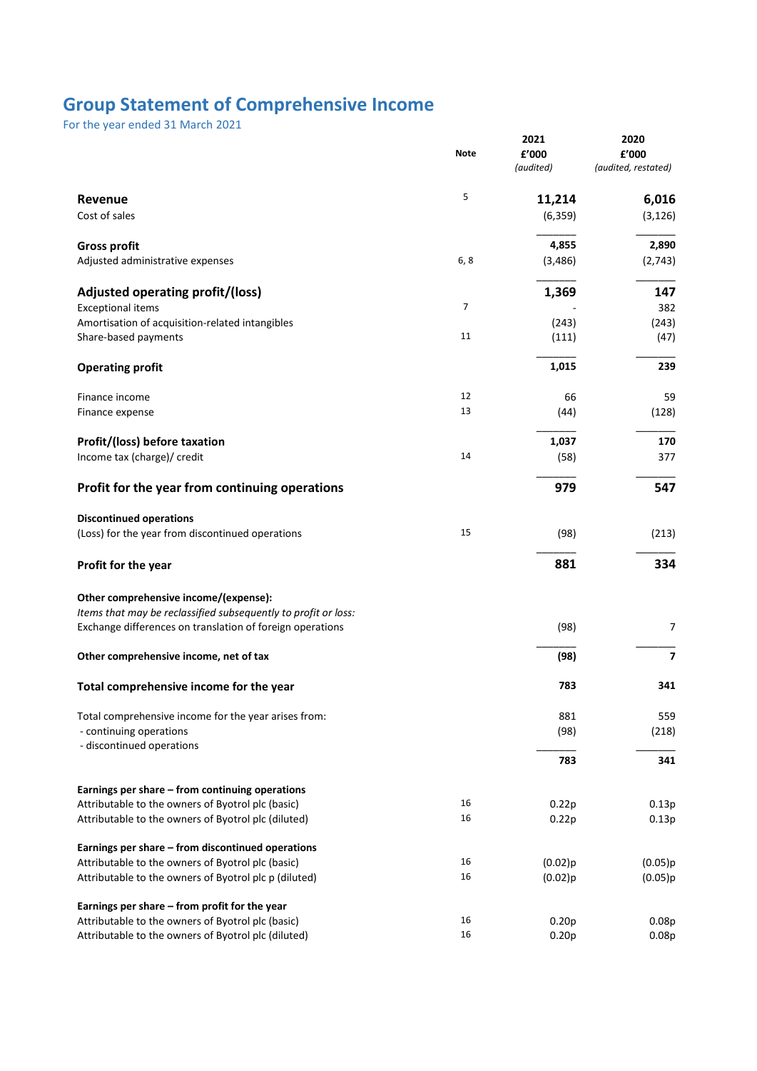# **Group Statement of Comprehensive Income**

|                                                                | <b>Note</b>    | 2021<br>£'000     | 2020                         |
|----------------------------------------------------------------|----------------|-------------------|------------------------------|
|                                                                |                | (audited)         | £'000<br>(audited, restated) |
| Revenue                                                        | 5              | 11,214            | 6,016                        |
| Cost of sales                                                  |                | (6, 359)          | (3, 126)                     |
| <b>Gross profit</b>                                            |                | 4,855             | 2,890                        |
| Adjusted administrative expenses                               | 6, 8           | (3,486)           | (2,743)                      |
| Adjusted operating profit/(loss)                               |                | 1,369             | 147                          |
| <b>Exceptional items</b>                                       | $\overline{7}$ |                   | 382                          |
| Amortisation of acquisition-related intangibles                |                | (243)             | (243)                        |
| Share-based payments                                           | 11             | (111)             | (47)                         |
| <b>Operating profit</b>                                        |                | 1,015             | 239                          |
| Finance income                                                 | 12             | 66                | 59                           |
| Finance expense                                                | 13             | (44)              | (128)                        |
| Profit/(loss) before taxation                                  |                | 1,037             | 170                          |
| Income tax (charge)/ credit                                    | 14             | (58)              | 377                          |
| Profit for the year from continuing operations                 |                | 979               | 547                          |
| <b>Discontinued operations</b>                                 |                |                   |                              |
| (Loss) for the year from discontinued operations               | 15             | (98)              | (213)                        |
| Profit for the year                                            |                | 881               | 334                          |
| Other comprehensive income/(expense):                          |                |                   |                              |
| Items that may be reclassified subsequently to profit or loss: |                |                   |                              |
| Exchange differences on translation of foreign operations      |                | (98)              | 7                            |
| Other comprehensive income, net of tax                         |                | (98)              | 7                            |
| Total comprehensive income for the year                        |                | 783               | 341                          |
| Total comprehensive income for the year arises from:           |                | 881               | 559                          |
| - continuing operations                                        |                | (98)              | (218)                        |
| - discontinued operations                                      |                | 783               | 341                          |
| Earnings per share - from continuing operations                |                |                   |                              |
| Attributable to the owners of Byotrol plc (basic)              | 16             | 0.22p             | 0.13p                        |
| Attributable to the owners of Byotrol plc (diluted)            | 16             | 0.22p             | 0.13p                        |
|                                                                |                |                   |                              |
| Earnings per share - from discontinued operations              |                |                   |                              |
| Attributable to the owners of Byotrol plc (basic)              | 16             | (0.02)p           | (0.05)p                      |
| Attributable to the owners of Byotrol plc p (diluted)          | 16             | (0.02)p           | (0.05)p                      |
| Earnings per share - from profit for the year                  |                |                   |                              |
| Attributable to the owners of Byotrol plc (basic)              | 16             | 0.20 <sub>p</sub> | 0.08p                        |
| Attributable to the owners of Byotrol plc (diluted)            | 16             | 0.20p             | 0.08p                        |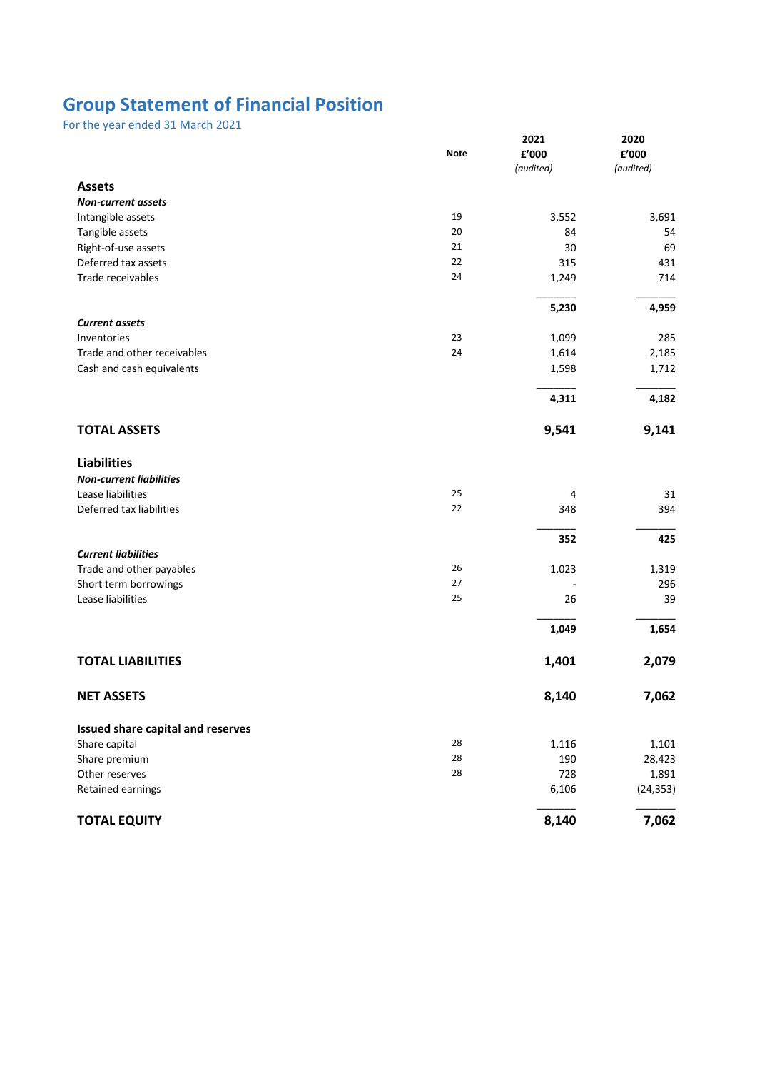# **Group Statement of Financial Position**

| ul tile year ended 31 Martii 2021 | <b>Note</b> | 2021<br>£'000<br>(audited) | 2020<br>£'000<br>(audited) |
|-----------------------------------|-------------|----------------------------|----------------------------|
| <b>Assets</b>                     |             |                            |                            |
| <b>Non-current assets</b>         |             |                            |                            |
| Intangible assets                 | 19          | 3,552                      | 3,691                      |
| Tangible assets                   | 20          | 84                         | 54                         |
| Right-of-use assets               | 21          | 30                         | 69                         |
| Deferred tax assets               | 22          | 315                        | 431                        |
| Trade receivables                 | 24          | 1,249                      | 714                        |
|                                   |             | 5,230                      | 4,959                      |
| <b>Current assets</b>             |             |                            |                            |
| Inventories                       | 23          | 1,099                      | 285                        |
| Trade and other receivables       | 24          | 1,614                      | 2,185                      |
| Cash and cash equivalents         |             | 1,598                      | 1,712                      |
|                                   |             | 4,311                      | 4,182                      |
| <b>TOTAL ASSETS</b>               |             | 9,541                      | 9,141                      |
| <b>Liabilities</b>                |             |                            |                            |
| <b>Non-current liabilities</b>    |             |                            |                            |
| Lease liabilities                 | 25          | 4                          | 31                         |
| Deferred tax liabilities          | 22          | 348                        | 394                        |
|                                   |             | 352                        | 425                        |
| <b>Current liabilities</b>        |             |                            |                            |
| Trade and other payables          | 26          | 1,023                      | 1,319                      |
| Short term borrowings             | 27          |                            | 296                        |
| Lease liabilities                 | 25          | 26                         | 39                         |
|                                   |             | 1,049                      | 1,654                      |
| <b>TOTAL LIABILITIES</b>          |             | 1,401                      | 2,079                      |
| <b>NET ASSETS</b>                 |             | 8,140                      | 7,062                      |
| Issued share capital and reserves |             |                            |                            |
| Share capital                     | 28          | 1,116                      | 1,101                      |
| Share premium                     | 28          | 190                        | 28,423                     |
| Other reserves                    | 28          | 728                        | 1,891                      |
| Retained earnings                 |             | 6,106                      | (24, 353)                  |
| <b>TOTAL EQUITY</b>               |             | 8,140                      | 7,062                      |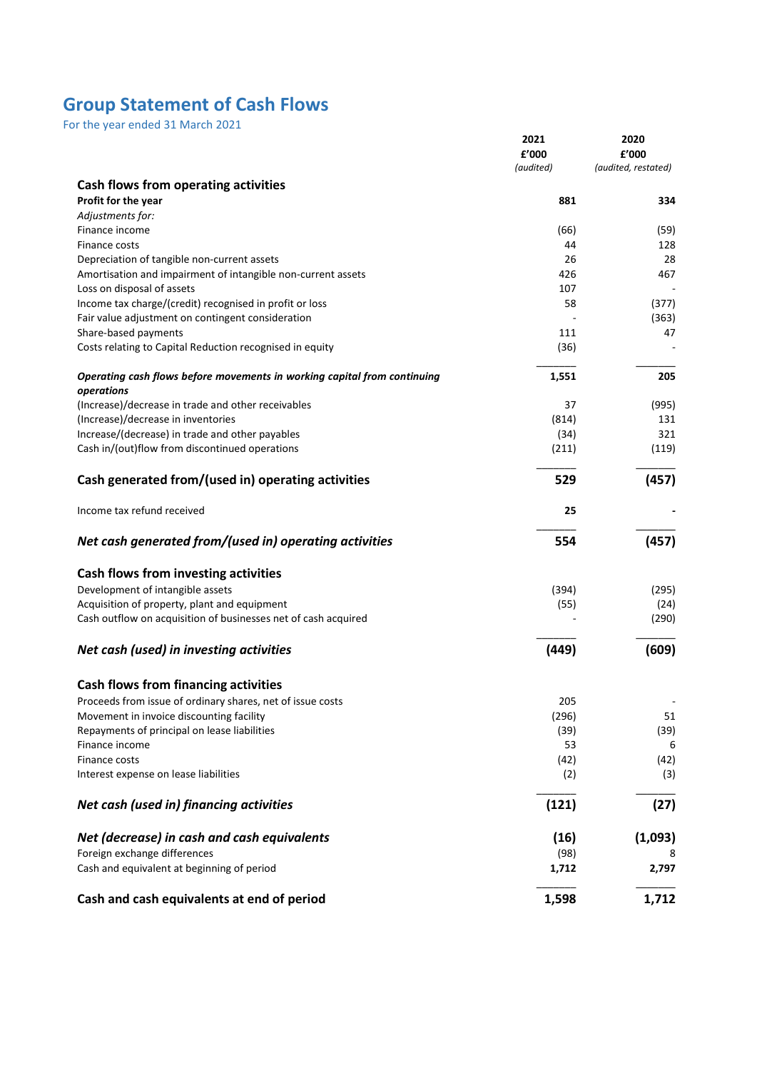# **Group Statement of Cash Flows**

|                                                                          | 2021<br>f'000 | 2020<br>£'000       |
|--------------------------------------------------------------------------|---------------|---------------------|
|                                                                          | (audited)     | (audited, restated) |
| Cash flows from operating activities                                     |               |                     |
| Profit for the year                                                      | 881           | 334                 |
| Adjustments for:                                                         |               |                     |
| Finance income                                                           | (66)          | (59)                |
| Finance costs                                                            | 44            | 128                 |
| Depreciation of tangible non-current assets                              | 26            | 28                  |
| Amortisation and impairment of intangible non-current assets             | 426           | 467                 |
| Loss on disposal of assets                                               | 107           |                     |
| Income tax charge/(credit) recognised in profit or loss                  | 58            | (377)               |
| Fair value adjustment on contingent consideration                        |               | (363)               |
| Share-based payments                                                     | 111           | 47                  |
| Costs relating to Capital Reduction recognised in equity                 | (36)          |                     |
| Operating cash flows before movements in working capital from continuing | 1,551         | 205                 |
| operations<br>(Increase)/decrease in trade and other receivables         | 37            | (995)               |
| (Increase)/decrease in inventories                                       | (814)         | 131                 |
| Increase/(decrease) in trade and other payables                          | (34)          | 321                 |
| Cash in/(out)flow from discontinued operations                           | (211)         | (119)               |
|                                                                          |               |                     |
| Cash generated from/(used in) operating activities                       | 529           | (457)               |
| Income tax refund received                                               | 25            |                     |
| Net cash generated from/(used in) operating activities                   | 554           | (457)               |
| Cash flows from investing activities                                     |               |                     |
| Development of intangible assets                                         | (394)         | (295)               |
| Acquisition of property, plant and equipment                             | (55)          | (24)                |
| Cash outflow on acquisition of businesses net of cash acquired           |               | (290)               |
|                                                                          |               |                     |
| Net cash (used) in investing activities                                  | (449)         | (609)               |
| <b>Cash flows from financing activities</b>                              |               |                     |
| Proceeds from issue of ordinary shares, net of issue costs               | 205           |                     |
| Movement in invoice discounting facility                                 | (296)         | 51                  |
| Repayments of principal on lease liabilities                             | (39)          | (39)                |
| Finance income                                                           | 53            | 6                   |
| Finance costs                                                            | (42)          | (42)                |
| Interest expense on lease liabilities                                    | (2)           | (3)                 |
| Net cash (used in) financing activities                                  | (121)         | (27)                |
|                                                                          |               |                     |
| Net (decrease) in cash and cash equivalents                              | (16)          | (1,093)             |
| Foreign exchange differences                                             | (98)          |                     |
| Cash and equivalent at beginning of period                               | 1,712         | 2,797               |
| Cash and cash equivalents at end of period                               | 1,598         | 1,712               |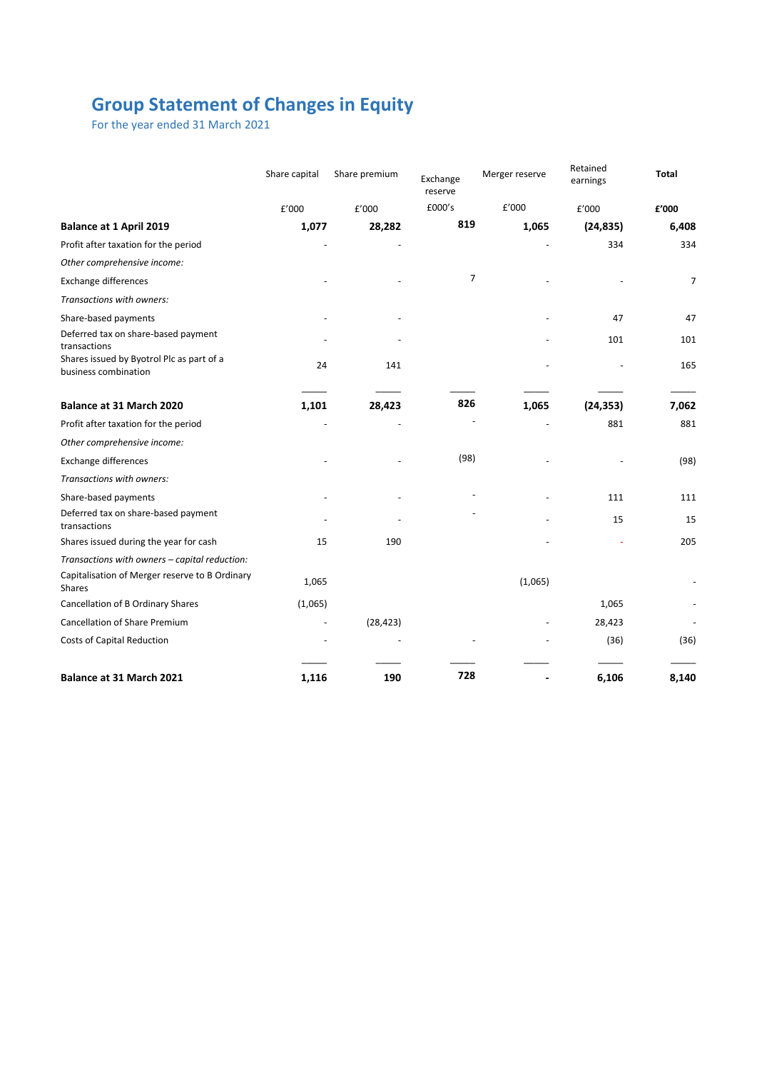# **Group Statement of Changes in Equity**

|                                                                   | Share capital | Share premium | Exchange<br>reserve | Merger reserve | Retained<br>earnings | <b>Total</b>   |
|-------------------------------------------------------------------|---------------|---------------|---------------------|----------------|----------------------|----------------|
|                                                                   | £'000         | £'000         | £000's              | £'000          | £'000                | £'000          |
| <b>Balance at 1 April 2019</b>                                    | 1,077         | 28,282        | 819                 | 1,065          | (24, 835)            | 6,408          |
| Profit after taxation for the period                              |               |               |                     |                | 334                  | 334            |
| Other comprehensive income:                                       |               |               |                     |                |                      |                |
| <b>Exchange differences</b>                                       |               |               | 7                   |                |                      | $\overline{7}$ |
| Transactions with owners:                                         |               |               |                     |                |                      |                |
| Share-based payments                                              |               |               |                     |                | 47                   | 47             |
| Deferred tax on share-based payment<br>transactions               |               |               |                     |                | 101                  | 101            |
| Shares issued by Byotrol Plc as part of a<br>business combination | 24            | 141           |                     |                |                      | 165            |
| Balance at 31 March 2020                                          | 1,101         | 28,423        | 826                 | 1,065          | (24, 353)            | 7,062          |
| Profit after taxation for the period                              |               |               |                     |                | 881                  | 881            |
| Other comprehensive income:                                       |               |               |                     |                |                      |                |
| <b>Exchange differences</b>                                       |               |               | (98)                |                |                      | (98)           |
| Transactions with owners:                                         |               |               |                     |                |                      |                |
| Share-based payments                                              |               |               |                     |                | 111                  | 111            |
| Deferred tax on share-based payment<br>transactions               |               |               |                     |                | 15                   | 15             |
| Shares issued during the year for cash                            | 15            | 190           |                     |                |                      | 205            |
| Transactions with owners - capital reduction:                     |               |               |                     |                |                      |                |
| Capitalisation of Merger reserve to B Ordinary<br><b>Shares</b>   | 1,065         |               |                     | (1,065)        |                      |                |
| Cancellation of B Ordinary Shares                                 | (1,065)       |               |                     |                | 1,065                |                |
| Cancellation of Share Premium                                     |               | (28, 423)     |                     |                | 28,423               |                |
| Costs of Capital Reduction                                        |               |               |                     |                | (36)                 | (36)           |
| Balance at 31 March 2021                                          | 1,116         | 190           | 728                 |                | 6,106                | 8,140          |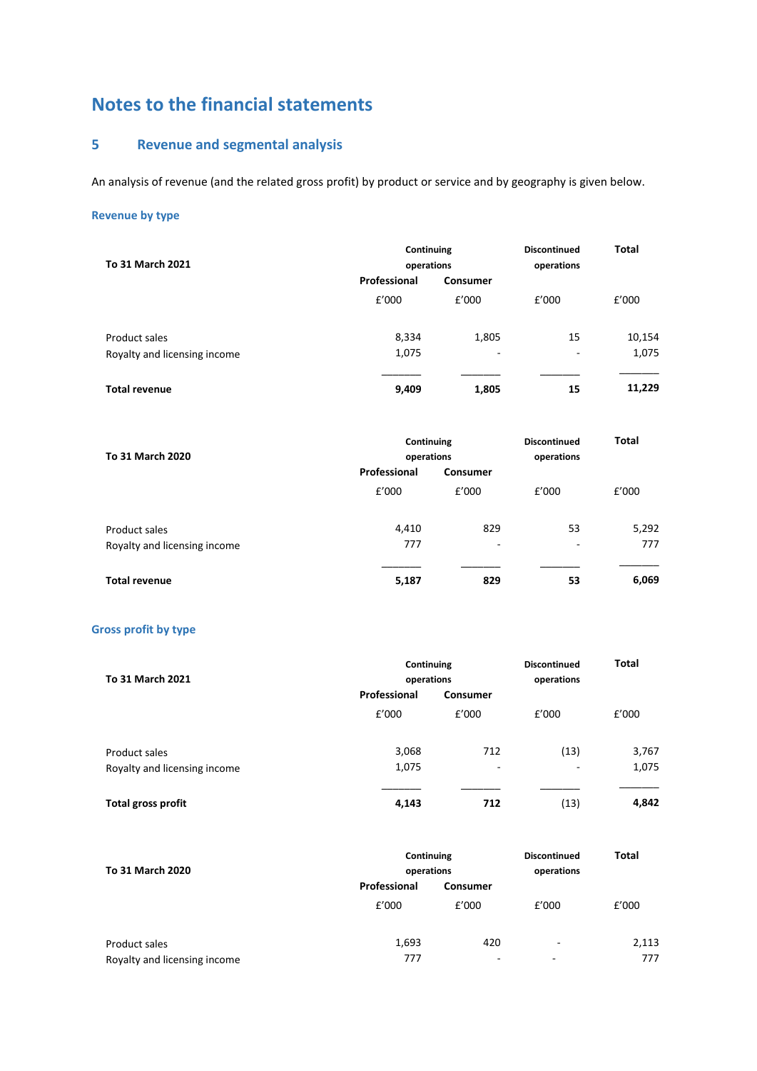# **Notes to the financial statements**

# **5 Revenue and segmental analysis**

An analysis of revenue (and the related gross profit) by product or service and by geography is given below.

# **Revenue by type**

| To 31 March 2021             | Continuing<br>operations |          | <b>Discontinued</b><br>operations | <b>Total</b> |
|------------------------------|--------------------------|----------|-----------------------------------|--------------|
|                              | Professional             | Consumer |                                   |              |
|                              | £'000                    | E'000    | f'000                             | f'000        |
| Product sales                | 8,334                    | 1,805    | 15                                | 10,154       |
| Royalty and licensing income | 1,075                    |          | $\overline{\phantom{a}}$          | 1,075        |
| <b>Total revenue</b>         | 9,409                    | 1,805    | 15                                | 11,229       |

| <b>To 31 March 2020</b>      | Continuing<br>operations | <b>Discontinued</b><br>operations | <b>Total</b> |       |
|------------------------------|--------------------------|-----------------------------------|--------------|-------|
|                              | Professional             | Consumer                          |              |       |
|                              | £'000                    | f'000                             | f'000        | E'000 |
| Product sales                | 4,410                    | 829                               | 53           | 5,292 |
| Royalty and licensing income | 777                      | ۰                                 | ٠            | 777   |
| <b>Total revenue</b>         | 5,187                    | 829                               | 53           | 6,069 |

# **Gross profit by type**

| To 31 March 2021             | Continuing<br>operations |                          | <b>Discontinued</b><br>operations | <b>Total</b> |
|------------------------------|--------------------------|--------------------------|-----------------------------------|--------------|
|                              | Professional             | Consumer                 |                                   |              |
|                              | f'000                    | E'000                    | £'000                             | £'000        |
| Product sales                | 3,068                    | 712                      | (13)                              | 3,767        |
| Royalty and licensing income | 1,075                    | $\overline{\phantom{a}}$ | ۰                                 | 1,075        |
| Total gross profit           | 4,143                    | 712                      | (13)                              | 4,842        |

| To 31 March 2020             | Continuing<br>operations |                 | <b>Discontinued</b><br>operations | <b>Total</b> |
|------------------------------|--------------------------|-----------------|-----------------------------------|--------------|
|                              | Professional             | <b>Consumer</b> |                                   |              |
|                              | f'000                    | E'000           | £'000                             | E'000        |
| Product sales                | 1,693                    | 420             | $\overline{a}$                    | 2,113        |
| Royalty and licensing income | 777                      | -               | $\overline{\phantom{a}}$          | 777          |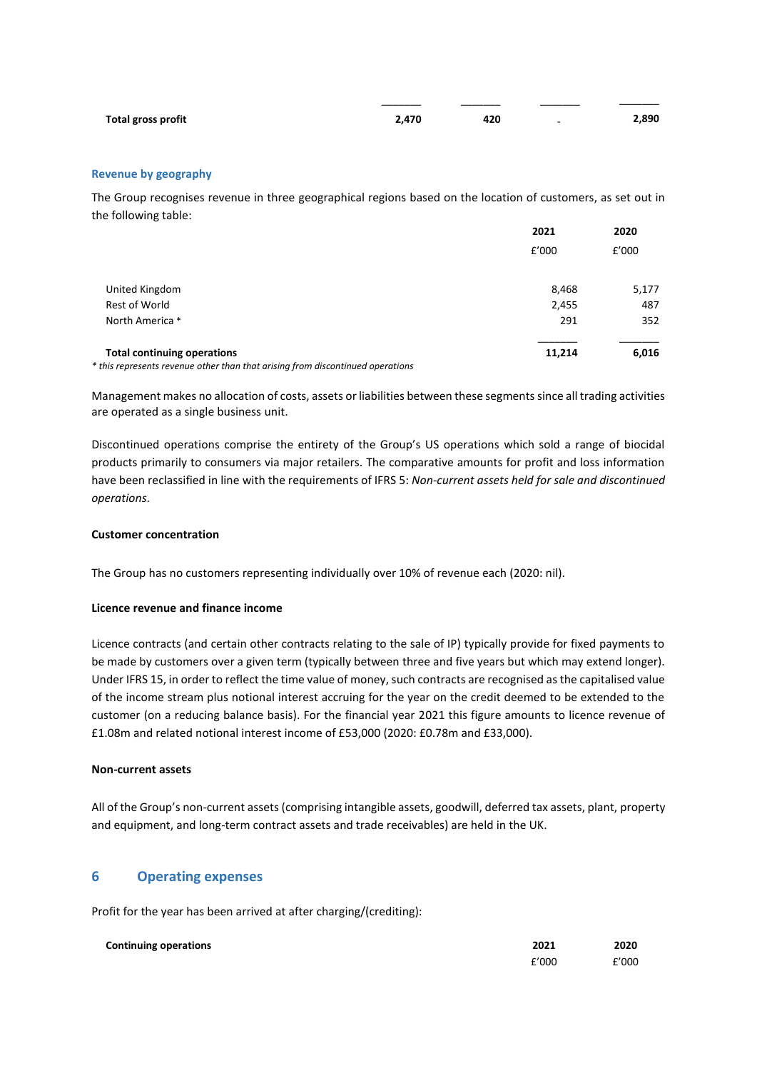| Total gross profit | 2.470 | 420 | - | 2,890 |
|--------------------|-------|-----|---|-------|

#### **Revenue by geography**

The Group recognises revenue in three geographical regions based on the location of customers, as set out in the following table:

|                                                                                | 2021   | 2020  |
|--------------------------------------------------------------------------------|--------|-------|
|                                                                                | E'000  | f'000 |
| United Kingdom                                                                 | 8,468  | 5,177 |
| Rest of World                                                                  | 2,455  | 487   |
| North America *                                                                | 291    | 352   |
| <b>Total continuing operations</b>                                             | 11,214 | 6,016 |
| * this represents revenue other than that arising from discontinued operations |        |       |

Management makes no allocation of costs, assets or liabilities between these segments since all trading activities are operated as a single business unit.

Discontinued operations comprise the entirety of the Group's US operations which sold a range of biocidal products primarily to consumers via major retailers. The comparative amounts for profit and loss information have been reclassified in line with the requirements of IFRS 5: *Non-current assets held for sale and discontinued operations*.

#### **Customer concentration**

The Group has no customers representing individually over 10% of revenue each (2020: nil).

#### **Licence revenue and finance income**

Licence contracts (and certain other contracts relating to the sale of IP) typically provide for fixed payments to be made by customers over a given term (typically between three and five years but which may extend longer). Under IFRS 15, in order to reflect the time value of money, such contracts are recognised as the capitalised value of the income stream plus notional interest accruing for the year on the credit deemed to be extended to the customer (on a reducing balance basis). For the financial year 2021 this figure amounts to licence revenue of £1.08m and related notional interest income of £53,000 (2020: £0.78m and £33,000).

#### **Non-current assets**

All of the Group's non-current assets (comprising intangible assets, goodwill, deferred tax assets, plant, property and equipment, and long-term contract assets and trade receivables) are held in the UK.

#### **6 Operating expenses**

Profit for the year has been arrived at after charging/(crediting):

| <b>Continuing operations</b> | 2021  | 2020  |
|------------------------------|-------|-------|
|                              | f'000 | £'000 |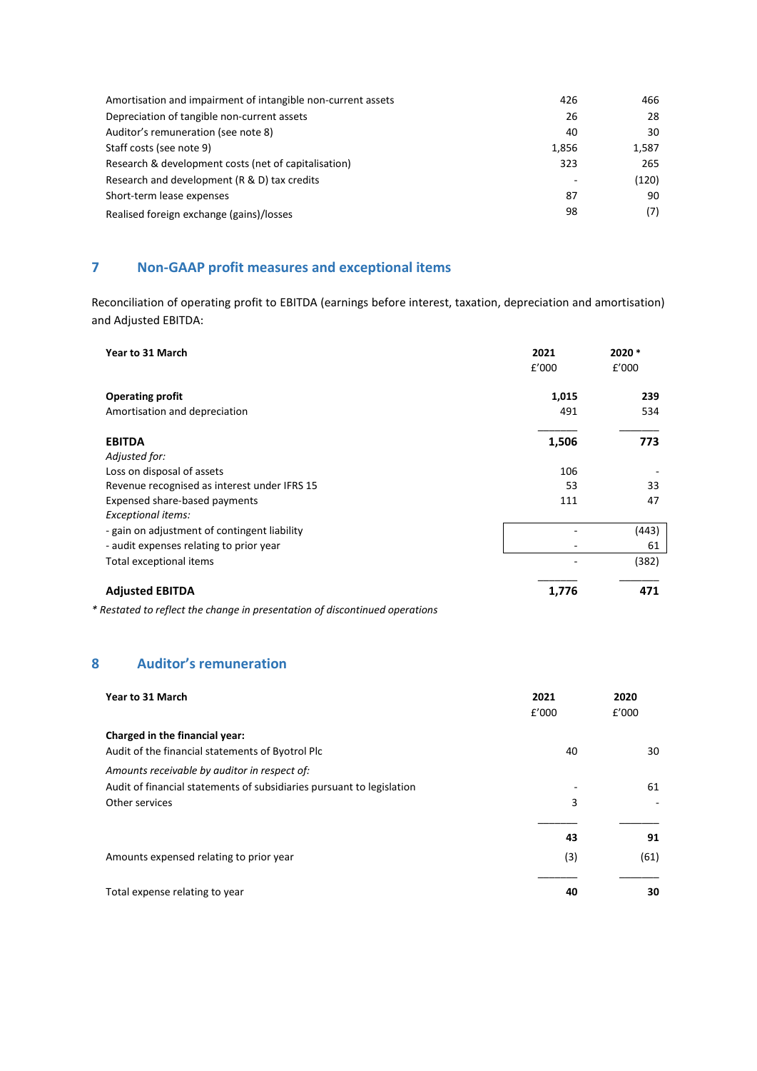| Amortisation and impairment of intangible non-current assets | 426   | 466   |
|--------------------------------------------------------------|-------|-------|
| Depreciation of tangible non-current assets                  | 26    | 28    |
| Auditor's remuneration (see note 8)                          | 40    | 30    |
| Staff costs (see note 9)                                     | 1,856 | 1,587 |
| Research & development costs (net of capitalisation)         | 323   | 265   |
| Research and development (R & D) tax credits                 |       | (120) |
| Short-term lease expenses                                    | 87    | 90    |
| Realised foreign exchange (gains)/losses                     | 98    | (7)   |

# **7 Non-GAAP profit measures and exceptional items**

Reconciliation of operating profit to EBITDA (earnings before interest, taxation, depreciation and amortisation) and Adjusted EBITDA:

| Year to 31 March                                                            | 2021<br>f'000 | 2020 *<br>f'000 |
|-----------------------------------------------------------------------------|---------------|-----------------|
| <b>Operating profit</b>                                                     | 1,015         | 239             |
| Amortisation and depreciation                                               | 491           | 534             |
| <b>EBITDA</b>                                                               | 1,506         | 773             |
| Adjusted for:                                                               |               |                 |
| Loss on disposal of assets                                                  | 106           |                 |
| Revenue recognised as interest under IFRS 15                                | 53            | 33              |
| Expensed share-based payments                                               | 111           | 47              |
| <b>Exceptional items:</b>                                                   |               |                 |
| - gain on adjustment of contingent liability                                |               | (443)           |
| - audit expenses relating to prior year                                     |               | 61              |
| Total exceptional items                                                     |               | (382)           |
| <b>Adjusted EBITDA</b>                                                      | 1,776         | 471             |
| * Restated to reflect the change in presentation of discontinued operations |               |                 |
| 8<br><b>Auditor's remuneration</b>                                          |               |                 |
|                                                                             | 2021          |                 |
| Year to 31 March                                                            | f'000         | 2020<br>£'000   |
| Charged in the financial year:                                              |               |                 |
| Audit of the financial statements of Byotrol Plc                            | 40            | 30              |

| Audit of the financial statements of Byotrol Plc                      | 40  | 30   |
|-----------------------------------------------------------------------|-----|------|
| Amounts receivable by auditor in respect of:                          |     |      |
| Audit of financial statements of subsidiaries pursuant to legislation |     | 61   |
| Other services                                                        | 3   |      |
|                                                                       |     |      |
|                                                                       | 43  | 91   |
| Amounts expensed relating to prior year                               | (3) | (61) |
|                                                                       |     |      |
| Total expense relating to year                                        | 40  | 30   |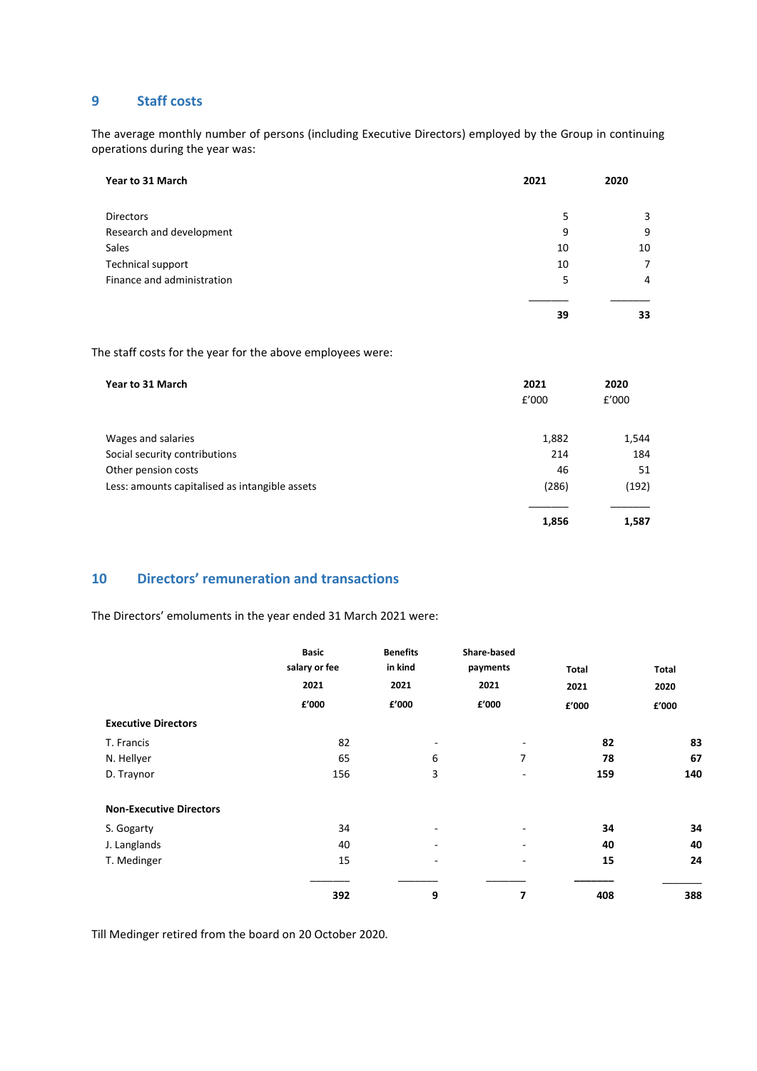# **9 Staff costs**

The average monthly number of persons (including Executive Directors) employed by the Group in continuing operations during the year was:

| Year to 31 March           | 2021 | 2020           |
|----------------------------|------|----------------|
| <b>Directors</b>           | 5    | 3              |
| Research and development   | 9    | 9              |
| Sales                      | 10   | 10             |
| Technical support          | 10   | 7              |
| Finance and administration | 5    | $\overline{4}$ |
|                            | 39   | 33             |

The staff costs for the year for the above employees were:

| Year to 31 March                               | 2021<br>E'000 | 2020<br>£'000 |
|------------------------------------------------|---------------|---------------|
| Wages and salaries                             | 1,882         | 1,544         |
| Social security contributions                  | 214           | 184           |
| Other pension costs                            | 46            | 51            |
| Less: amounts capitalised as intangible assets | (286)         | (192)         |
|                                                | 1,856         | 1,587         |

# **10 Directors' remuneration and transactions**

The Directors' emoluments in the year ended 31 March 2021 were:

|                                | <b>Basic</b><br>salary or fee | <b>Benefits</b><br>in kind   | Share-based<br>payments  | <b>Total</b> | Total |
|--------------------------------|-------------------------------|------------------------------|--------------------------|--------------|-------|
|                                |                               | 2021<br>2021                 | 2021                     | 2021         | 2020  |
|                                | £'000                         | £'000                        | £'000                    | £'000        | £'000 |
| <b>Executive Directors</b>     |                               |                              |                          |              |       |
| T. Francis                     | 82                            | $\overline{\phantom{a}}$     | $\overline{\phantom{a}}$ | 82           | 83    |
| N. Hellyer                     | 65                            | 6                            | 7                        | 78           | 67    |
| D. Traynor                     | 156                           | 3                            | $\overline{\phantom{a}}$ | 159          | 140   |
| <b>Non-Executive Directors</b> |                               |                              |                          |              |       |
| S. Gogarty                     | 34                            | $\qquad \qquad \blacksquare$ | ۰                        | 34           | 34    |
| J. Langlands                   | 40                            | $\qquad \qquad \blacksquare$ | ۰                        | 40           | 40    |
| T. Medinger                    | 15                            | ۰                            | $\overline{\phantom{a}}$ | 15           | 24    |
|                                | 392                           | 9                            | 7                        | 408          | 388   |

Till Medinger retired from the board on 20 October 2020.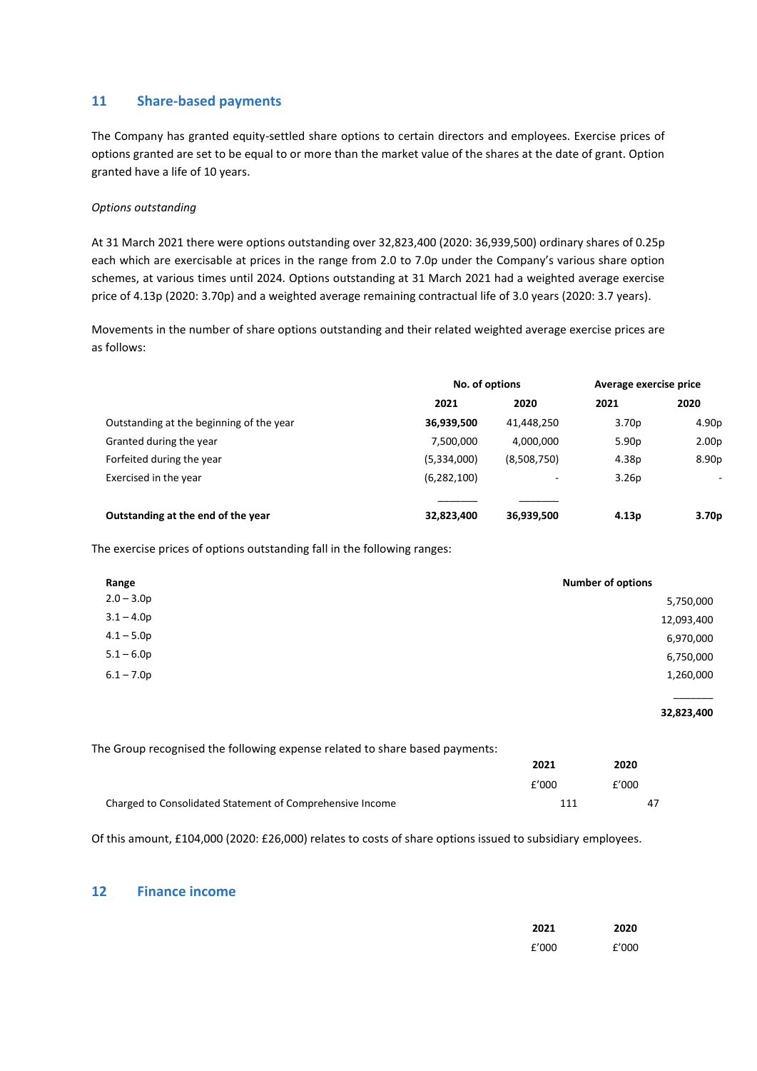# **11 Share-based payments**

The Company has granted equity-settled share options to certain directors and employees. Exercise prices of options granted are set to be equal to or more than the market value of the shares at the date of grant. Option granted have a life of 10 years.

#### *Options outstanding*

At 31 March 2021 there were options outstanding over 32,823,400 (2020: 36,939,500) ordinary shares of 0.25p each which are exercisable at prices in the range from 2.0 to 7.0p under the Company's various share option schemes, at various times until 2024. Options outstanding at 31 March 2021 had a weighted average exercise price of 4.13p (2020: 3.70p) and a weighted average remaining contractual life of 3.0 years (2020: 3.7 years).

Movements in the number of share options outstanding and their related weighted average exercise prices are as follows:

|                                          | No. of options |                          | Average exercise price |                   |
|------------------------------------------|----------------|--------------------------|------------------------|-------------------|
|                                          | 2021           | 2020                     | 2021                   | 2020              |
| Outstanding at the beginning of the year | 36,939,500     | 41,448,250               | 3.70 <sub>p</sub>      | 4.90p             |
| Granted during the year                  | 7,500,000      | 4,000,000                | 5.90 <sub>p</sub>      | 2.00 <sub>p</sub> |
| Forfeited during the year                | (5,334,000)    | (8,508,750)              | 4.38p                  | 8.90p             |
| Exercised in the year                    | (6, 282, 100)  | $\overline{\phantom{a}}$ | 3.26 <sub>p</sub>      | ۰.                |
|                                          |                |                          |                        |                   |
| Outstanding at the end of the year       | 32,823,400     | 36,939,500               | 4.13p                  | 3.70 <sub>p</sub> |

The exercise prices of options outstanding fall in the following ranges:

| Range        | <b>Number of options</b> |
|--------------|--------------------------|
| $2.0 - 3.0p$ | 5,750,000                |
| $3.1 - 4.0p$ | 12,093,400               |
| $4.1 - 5.0p$ | 6,970,000                |
| $5.1 - 6.0p$ | 6,750,000                |
| $6.1 - 7.0p$ | 1,260,000                |
|              |                          |

#### **32,823,400**

The Group recognised the following expense related to share based payments:

|                                                           | 2021  | 2020  |
|-----------------------------------------------------------|-------|-------|
|                                                           | f'000 | f'000 |
| Charged to Consolidated Statement of Comprehensive Income | 111   |       |

Of this amount, £104,000 (2020: £26,000) relates to costs of share options issued to subsidiary employees.

### **12 Finance income**

| 2021  | 2020  |
|-------|-------|
| f'000 | f'000 |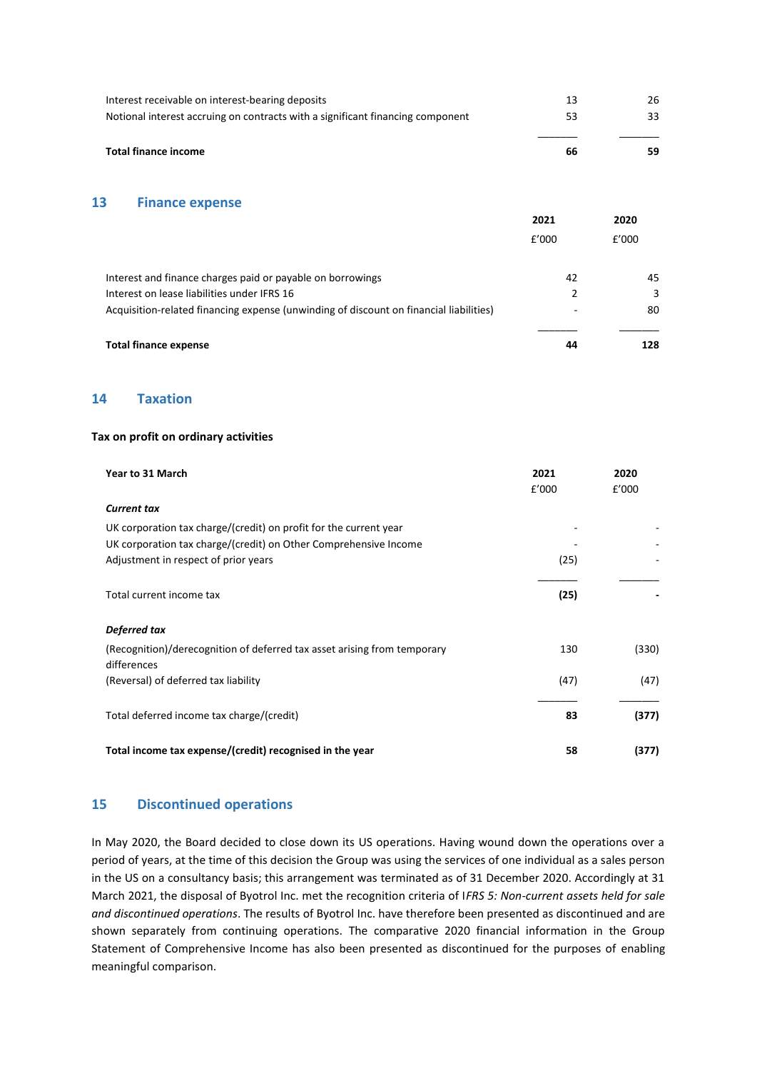| Interest receivable on interest-bearing deposits<br>Notional interest accruing on contracts with a significant financing component | 53 | 33 |
|------------------------------------------------------------------------------------------------------------------------------------|----|----|
| <b>Total finance income</b>                                                                                                        | 66 | 59 |

# **13 Finance expense**

|                                                                                        | 2021  | 2020  |
|----------------------------------------------------------------------------------------|-------|-------|
|                                                                                        | £'000 | £'000 |
| Interest and finance charges paid or payable on borrowings                             | 42    | 45    |
| Interest on lease liabilities under IFRS 16                                            |       | 3     |
| Acquisition-related financing expense (unwinding of discount on financial liabilities) |       | 80    |
| <b>Total finance expense</b>                                                           | 44    | 128   |

# **14 Taxation**

#### **Tax on profit on ordinary activities**

| Year to 31 March                                                                        | 2021  | 2020  |
|-----------------------------------------------------------------------------------------|-------|-------|
|                                                                                         | f'000 | f'000 |
| <b>Current tax</b>                                                                      |       |       |
| UK corporation tax charge/(credit) on profit for the current year                       |       |       |
| UK corporation tax charge/(credit) on Other Comprehensive Income                        |       |       |
| Adjustment in respect of prior years                                                    | (25)  |       |
|                                                                                         |       |       |
| Total current income tax                                                                | (25)  |       |
| Deferred tax                                                                            |       |       |
| (Recognition)/derecognition of deferred tax asset arising from temporary<br>differences | 130   | (330) |
| (Reversal) of deferred tax liability                                                    | (47)  | (47)  |
| Total deferred income tax charge/(credit)                                               | 83    | (377) |
| Total income tax expense/(credit) recognised in the year                                | 58    | (377) |

# **15 Discontinued operations**

In May 2020, the Board decided to close down its US operations. Having wound down the operations over a period of years, at the time of this decision the Group was using the services of one individual as a sales person in the US on a consultancy basis; this arrangement was terminated as of 31 December 2020. Accordingly at 31 March 2021, the disposal of Byotrol Inc. met the recognition criteria of I*FRS 5: Non-current assets held for sale and discontinued operations*. The results of Byotrol Inc. have therefore been presented as discontinued and are shown separately from continuing operations. The comparative 2020 financial information in the Group Statement of Comprehensive Income has also been presented as discontinued for the purposes of enabling meaningful comparison.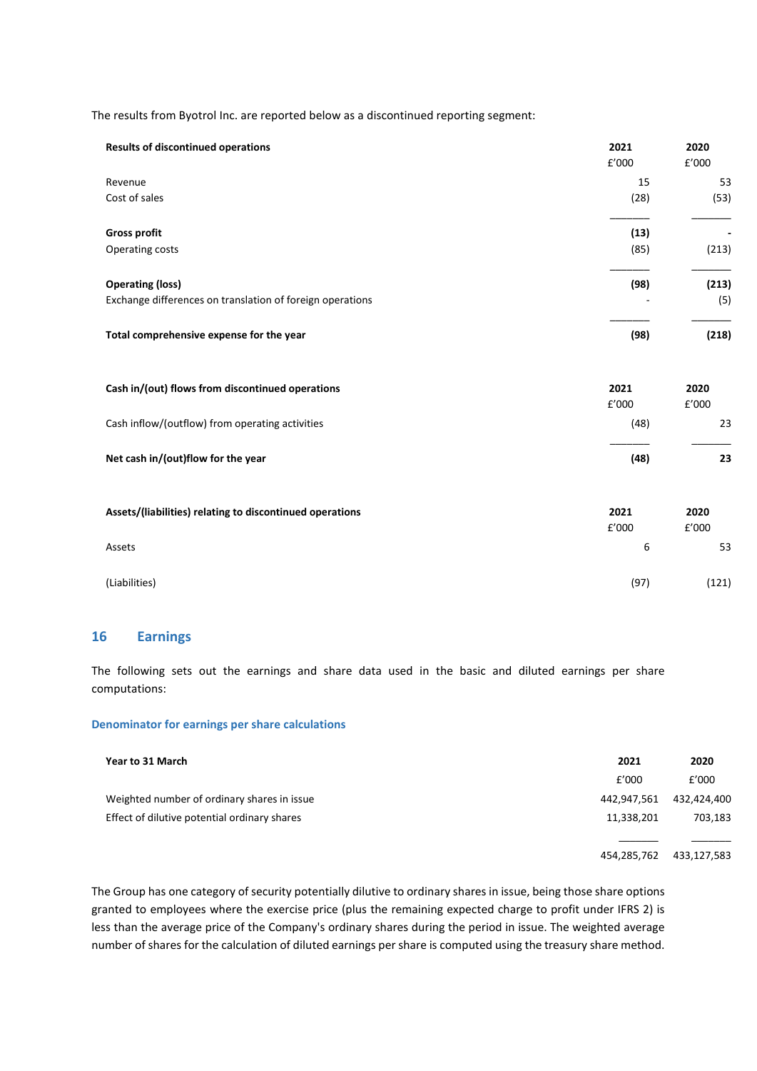The results from Byotrol Inc. are reported below as a discontinued reporting segment:

| <b>Results of discontinued operations</b>                 | 2021<br>£'000 | 2020<br>£'000 |
|-----------------------------------------------------------|---------------|---------------|
| Revenue                                                   | 15            | 53            |
| Cost of sales                                             | (28)          | (53)          |
| <b>Gross profit</b>                                       | (13)          |               |
| Operating costs                                           | (85)          | (213)         |
| <b>Operating (loss)</b>                                   | (98)          | (213)         |
| Exchange differences on translation of foreign operations |               | (5)           |
| Total comprehensive expense for the year                  | (98)          | (218)         |
| Cash in/(out) flows from discontinued operations          | 2021<br>£'000 | 2020<br>£'000 |
| Cash inflow/(outflow) from operating activities           | (48)          | 23            |
| Net cash in/(out)flow for the year                        | (48)          | 23            |
| Assets/(liabilities) relating to discontinued operations  | 2021<br>£'000 | 2020<br>£'000 |
| Assets                                                    | 6             | 53            |
| (Liabilities)                                             | (97)          | (121)         |

# **16 Earnings**

The following sets out the earnings and share data used in the basic and diluted earnings per share computations:

#### **Denominator for earnings per share calculations**

| Year to 31 March                             | 2021           | 2020          |
|----------------------------------------------|----------------|---------------|
|                                              | E'000          | £'000         |
| Weighted number of ordinary shares in issue  | 442,947,561    | 432,424,400   |
| Effect of dilutive potential ordinary shares | 11,338,201     | 703,183       |
|                                              |                |               |
|                                              | $10.205$ $702$ | $122.127$ FOR |

454,285,762 433,127,583

The Group has one category of security potentially dilutive to ordinary shares in issue, being those share options granted to employees where the exercise price (plus the remaining expected charge to profit under IFRS 2) is less than the average price of the Company's ordinary shares during the period in issue. The weighted average number of shares for the calculation of diluted earnings per share is computed using the treasury share method.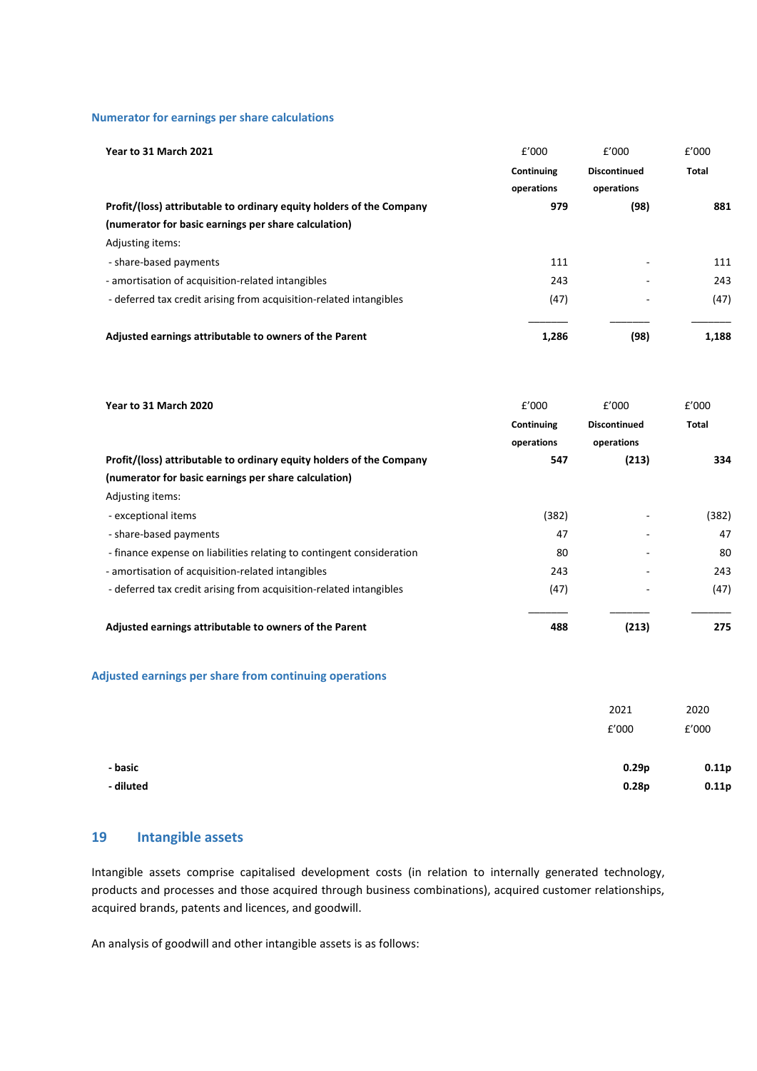#### **Numerator for earnings per share calculations**

| Year to 31 March 2021                                                | E'000      | f'000               | f'000 |  |
|----------------------------------------------------------------------|------------|---------------------|-------|--|
|                                                                      | Continuing | <b>Discontinued</b> | Total |  |
|                                                                      | operations | operations          |       |  |
| Profit/(loss) attributable to ordinary equity holders of the Company | 979        | (98)                | 881   |  |
| (numerator for basic earnings per share calculation)                 |            |                     |       |  |
| Adjusting items:                                                     |            |                     |       |  |
| - share-based payments                                               | 111        | ۰                   | 111   |  |
| - amortisation of acquisition-related intangibles                    | 243        | ٠                   | 243   |  |
| - deferred tax credit arising from acquisition-related intangibles   | (47)       | ٠                   | (47)  |  |
| Adjusted earnings attributable to owners of the Parent               | 1,286      | (98)                | 1,188 |  |

| Year to 31 March 2020                                                 | f'000      | £'000                    | £'000 |
|-----------------------------------------------------------------------|------------|--------------------------|-------|
|                                                                       | Continuing | <b>Discontinued</b>      | Total |
|                                                                       | operations | operations               |       |
| Profit/(loss) attributable to ordinary equity holders of the Company  | 547        | (213)                    | 334   |
| (numerator for basic earnings per share calculation)                  |            |                          |       |
| Adjusting items:                                                      |            |                          |       |
| - exceptional items                                                   | (382)      |                          | (382) |
| - share-based payments                                                | 47         |                          | 47    |
| - finance expense on liabilities relating to contingent consideration | 80         | $\overline{\phantom{0}}$ | 80    |
| - amortisation of acquisition-related intangibles                     | 243        |                          | 243   |
| - deferred tax credit arising from acquisition-related intangibles    | (47)       |                          | (47)  |
|                                                                       |            |                          |       |
| Adjusted earnings attributable to owners of the Parent                | 488        | (213)                    | 275   |

# **Adjusted earnings per share from continuing operations**

|           | 2021              | 2020  |
|-----------|-------------------|-------|
|           | £'000             | £'000 |
|           |                   |       |
| - basic   | 0.29 <sub>p</sub> | 0.11p |
| - diluted | 0.28p             | 0.11p |

# **19 Intangible assets**

Intangible assets comprise capitalised development costs (in relation to internally generated technology, products and processes and those acquired through business combinations), acquired customer relationships, acquired brands, patents and licences, and goodwill.

An analysis of goodwill and other intangible assets is as follows: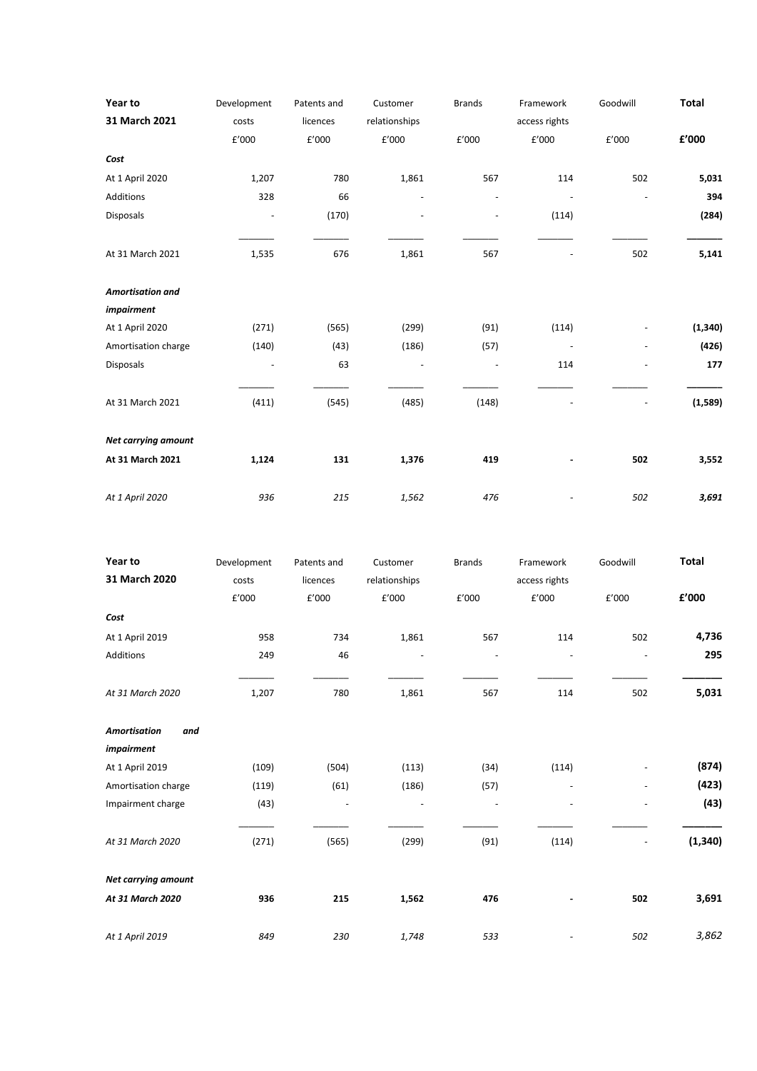| Year to                    | Development | Patents and | Customer      | <b>Brands</b>            | Framework     | Goodwill | Total    |
|----------------------------|-------------|-------------|---------------|--------------------------|---------------|----------|----------|
| 31 March 2021              | costs       | licences    | relationships |                          | access rights |          |          |
|                            | £'000       | £'000       | £'000         | £'000                    | £'000         | £'000    | £'000    |
| Cost                       |             |             |               |                          |               |          |          |
| At 1 April 2020            | 1,207       | 780         | 1,861         | 567                      | 114           | 502      | 5,031    |
| Additions                  | 328         | 66          |               | $\overline{\phantom{a}}$ |               |          | 394      |
| <b>Disposals</b>           |             | (170)       |               |                          | (114)         |          | (284)    |
| At 31 March 2021           | 1,535       | 676         | 1,861         | 567                      |               | 502      | 5,141    |
| <b>Amortisation and</b>    |             |             |               |                          |               |          |          |
| impairment                 |             |             |               |                          |               |          |          |
| At 1 April 2020            | (271)       | (565)       | (299)         | (91)                     | (114)         |          | (1, 340) |
| Amortisation charge        | (140)       | (43)        | (186)         | (57)                     |               |          | (426)    |
| <b>Disposals</b>           |             | 63          | ٠             |                          | 114           |          | 177      |
| At 31 March 2021           | (411)       | (545)       | (485)         | (148)                    | ٠             | ÷,       | (1,589)  |
| <b>Net carrying amount</b> |             |             |               |                          |               |          |          |
| At 31 March 2021           | 1,124       | 131         | 1,376         | 419                      |               | 502      | 3,552    |
| At 1 April 2020            | 936         | 215         | 1,562         | 476                      |               | 502      | 3,691    |

| Year to                    | Development | Patents and | Customer      | <b>Brands</b> | Framework                | Goodwill | <b>Total</b>           |
|----------------------------|-------------|-------------|---------------|---------------|--------------------------|----------|------------------------|
| 31 March 2020              | costs       | licences    | relationships |               | access rights            |          |                        |
|                            | E'000       | £'000       | £'000         | £'000         | £'000                    | E'000    | ${\bf f}^{\prime}$ 000 |
| Cost                       |             |             |               |               |                          |          |                        |
| At 1 April 2019            | 958         | 734         | 1,861         | 567           | 114                      | 502      | 4,736                  |
| Additions                  | 249         | 46          |               |               |                          |          | 295                    |
| At 31 March 2020           | 1,207       | 780         | 1,861         | 567           | 114                      | 502      | 5,031                  |
| <b>Amortisation</b><br>and |             |             |               |               |                          |          |                        |
| impairment                 |             |             |               |               |                          |          |                        |
| At 1 April 2019            | (109)       | (504)       | (113)         | (34)          | (114)                    |          | (874)                  |
| Amortisation charge        | (119)       | (61)        | (186)         | (57)          | $\overline{\phantom{a}}$ | ٠        | (423)                  |
| Impairment charge          | (43)        |             |               |               |                          |          | (43)                   |
| At 31 March 2020           | (271)       | (565)       | (299)         | (91)          | (114)                    |          | (1, 340)               |
| <b>Net carrying amount</b> |             |             |               |               |                          |          |                        |
| At 31 March 2020           | 936         | 215         | 1,562         | 476           |                          | 502      | 3,691                  |
| At 1 April 2019            | 849         | 230         | 1,748         | 533           |                          | 502      | 3,862                  |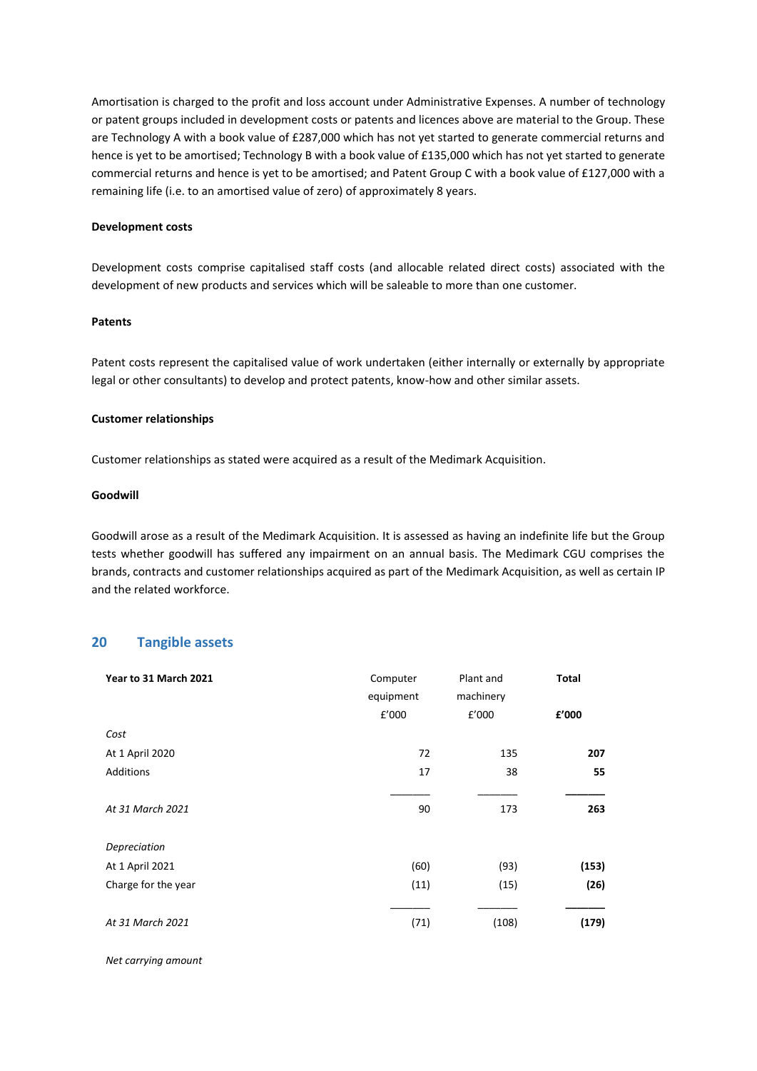Amortisation is charged to the profit and loss account under Administrative Expenses. A number of technology or patent groups included in development costs or patents and licences above are material to the Group. These are Technology A with a book value of £287,000 which has not yet started to generate commercial returns and hence is yet to be amortised; Technology B with a book value of £135,000 which has not yet started to generate commercial returns and hence is yet to be amortised; and Patent Group C with a book value of £127,000 with a remaining life (i.e. to an amortised value of zero) of approximately 8 years.

#### **Development costs**

Development costs comprise capitalised staff costs (and allocable related direct costs) associated with the development of new products and services which will be saleable to more than one customer.

#### **Patents**

Patent costs represent the capitalised value of work undertaken (either internally or externally by appropriate legal or other consultants) to develop and protect patents, know-how and other similar assets.

#### **Customer relationships**

Customer relationships as stated were acquired as a result of the Medimark Acquisition.

#### **Goodwill**

Goodwill arose as a result of the Medimark Acquisition. It is assessed as having an indefinite life but the Group tests whether goodwill has suffered any impairment on an annual basis. The Medimark CGU comprises the brands, contracts and customer relationships acquired as part of the Medimark Acquisition, as well as certain IP and the related workforce.

#### **20 Tangible assets**

| Year to 31 March 2021 | Computer  | Plant and | <b>Total</b> |
|-----------------------|-----------|-----------|--------------|
|                       | equipment | machinery |              |
|                       | £'000     | £'000     | £'000        |
| Cost                  |           |           |              |
| At 1 April 2020       | 72        | 135       | 207          |
| Additions             | 17        | 38        | 55           |
| At 31 March 2021      | 90        | 173       | 263          |
| Depreciation          |           |           |              |
| At 1 April 2021       | (60)      | (93)      | (153)        |
| Charge for the year   | (11)      | (15)      | (26)         |
| At 31 March 2021      | (71)      | (108)     | (179)        |
|                       |           |           |              |

*Net carrying amount*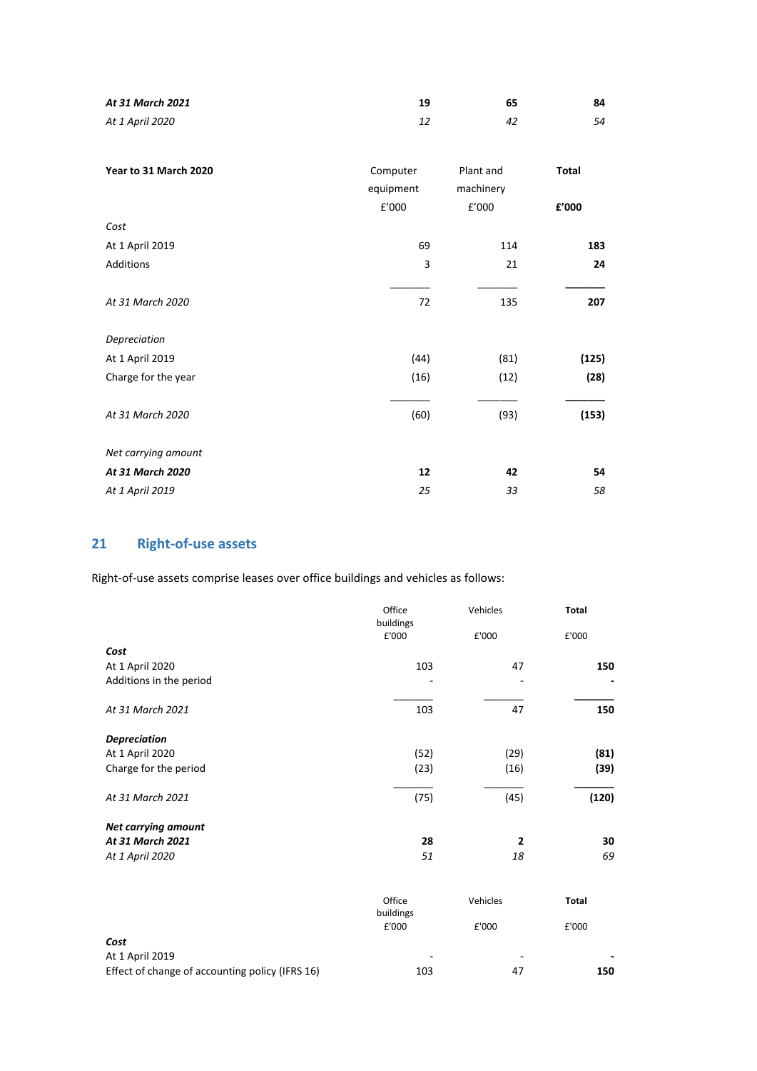| At 31 March 2021      | 19                    | 65                     | 84           |
|-----------------------|-----------------------|------------------------|--------------|
| At 1 April 2020       | 12                    | 42                     | 54           |
| Year to 31 March 2020 | Computer<br>equipment | Plant and<br>machinery | <b>Total</b> |
|                       | £'000                 | £'000                  | £'000        |
| Cost                  |                       |                        |              |
| At 1 April 2019       | 69                    | 114                    | 183          |
| Additions             | 3                     | 21                     | 24           |
| At 31 March 2020      | 72                    | 135                    | 207          |
| Depreciation          |                       |                        |              |
| At 1 April 2019       | (44)                  | (81)                   | (125)        |
| Charge for the year   | (16)                  | (12)                   | (28)         |
| At 31 March 2020      | (60)                  | (93)                   | (153)        |
| Net carrying amount   |                       |                        |              |
| At 31 March 2020      | 12                    | 42                     | 54           |
| At 1 April 2019       | 25                    | 33                     | 58           |

# **21 Right-of-use assets**

Right-of-use assets comprise leases over office buildings and vehicles as follows:

|                                            | Office<br>buildings<br>£'000 | Vehicles<br>£'000              | <b>Total</b><br>£'000 |
|--------------------------------------------|------------------------------|--------------------------------|-----------------------|
| Cost                                       |                              |                                |                       |
| At 1 April 2020<br>Additions in the period | 103                          | 47<br>$\overline{\phantom{m}}$ | 150                   |
| At 31 March 2021                           | 103                          | 47                             | 150                   |
| <b>Depreciation</b>                        |                              |                                |                       |
| At 1 April 2020                            | (52)                         | (29)                           | (81)                  |
| Charge for the period                      | (23)                         | (16)                           | (39)                  |
| At 31 March 2021                           | (75)                         | (45)                           | (120)                 |
| <b>Net carrying amount</b>                 |                              |                                |                       |
| At 31 March 2021                           | 28                           | $\overline{2}$                 | 30                    |
| At 1 April 2020                            | 51                           | 18                             | 69                    |
|                                            | Office<br>buildings          | Vehicles                       | <b>Total</b>          |
|                                            | £'000                        | £'000                          | £'000                 |

|                                                 | --------                 | -------- | ---- |
|-------------------------------------------------|--------------------------|----------|------|
| Cost                                            |                          |          |      |
| At 1 April 2019                                 | $\overline{\phantom{a}}$ | -        | -    |
| Effect of change of accounting policy (IFRS 16) | 103                      | 47       | 150  |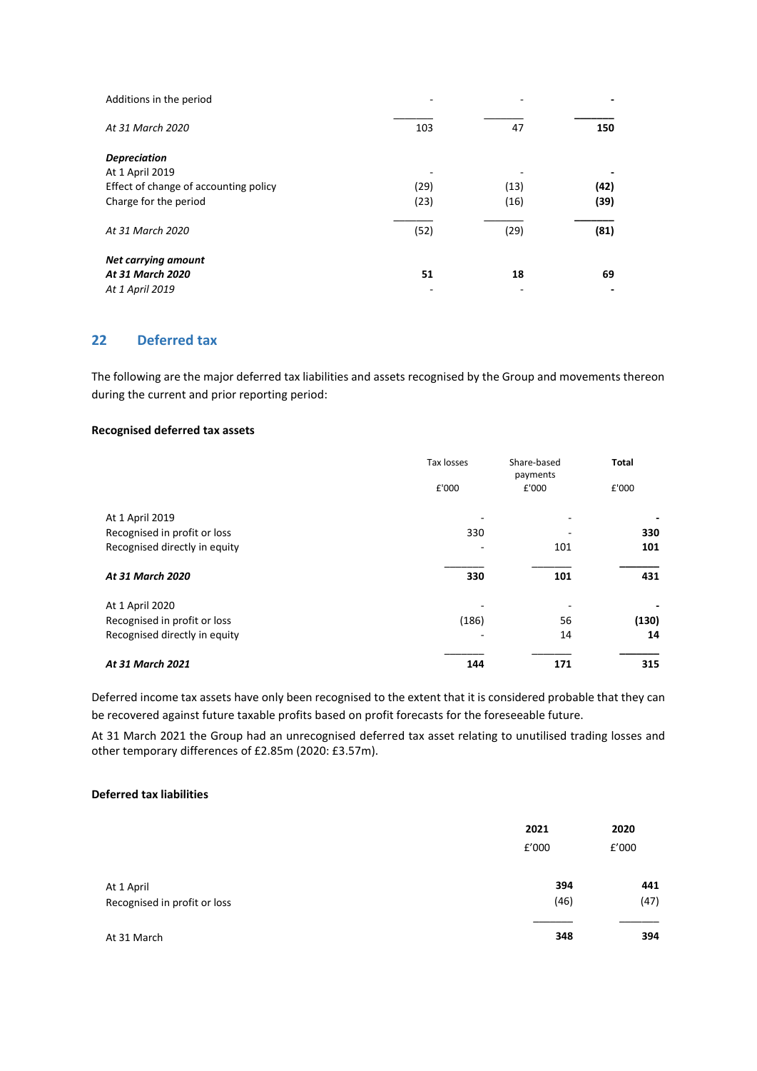| Additions in the period               |      |      |      |
|---------------------------------------|------|------|------|
| At 31 March 2020                      | 103  | 47   | 150  |
| <b>Depreciation</b>                   |      |      |      |
| At 1 April 2019                       |      |      |      |
| Effect of change of accounting policy | (29) | (13) | (42) |
| Charge for the period                 | (23) | (16) | (39) |
| At 31 March 2020                      | (52) | (29) | (81) |
| <b>Net carrying amount</b>            |      |      |      |
| At 31 March 2020<br>At 1 April 2019   | 51   | 18   | 69   |

# **22 Deferred tax**

The following are the major deferred tax liabilities and assets recognised by the Group and movements thereon during the current and prior reporting period:

#### **Recognised deferred tax assets**

|                               | Tax losses<br>£'000 | Share-based<br>payments<br>£'000 | <b>Total</b><br>£'000 |
|-------------------------------|---------------------|----------------------------------|-----------------------|
| At 1 April 2019               | -                   |                                  |                       |
| Recognised in profit or loss  | 330                 |                                  | 330                   |
| Recognised directly in equity | -                   | 101                              | 101                   |
| At 31 March 2020              | 330                 | 101                              | 431                   |
| At 1 April 2020               |                     | -                                |                       |
| Recognised in profit or loss  | (186)               | 56                               | (130)                 |
| Recognised directly in equity |                     | 14                               | 14                    |
| At 31 March 2021              | 144                 | 171                              | 315                   |

Deferred income tax assets have only been recognised to the extent that it is considered probable that they can be recovered against future taxable profits based on profit forecasts for the foreseeable future.

At 31 March 2021 the Group had an unrecognised deferred tax asset relating to unutilised trading losses and other temporary differences of £2.85m (2020: £3.57m).

#### **Deferred tax liabilities**

|                              | 2021  | 2020  |
|------------------------------|-------|-------|
|                              | £'000 | £'000 |
| At 1 April                   | 394   | 441   |
| Recognised in profit or loss | (46)  | (47)  |
| At 31 March                  | 348   | 394   |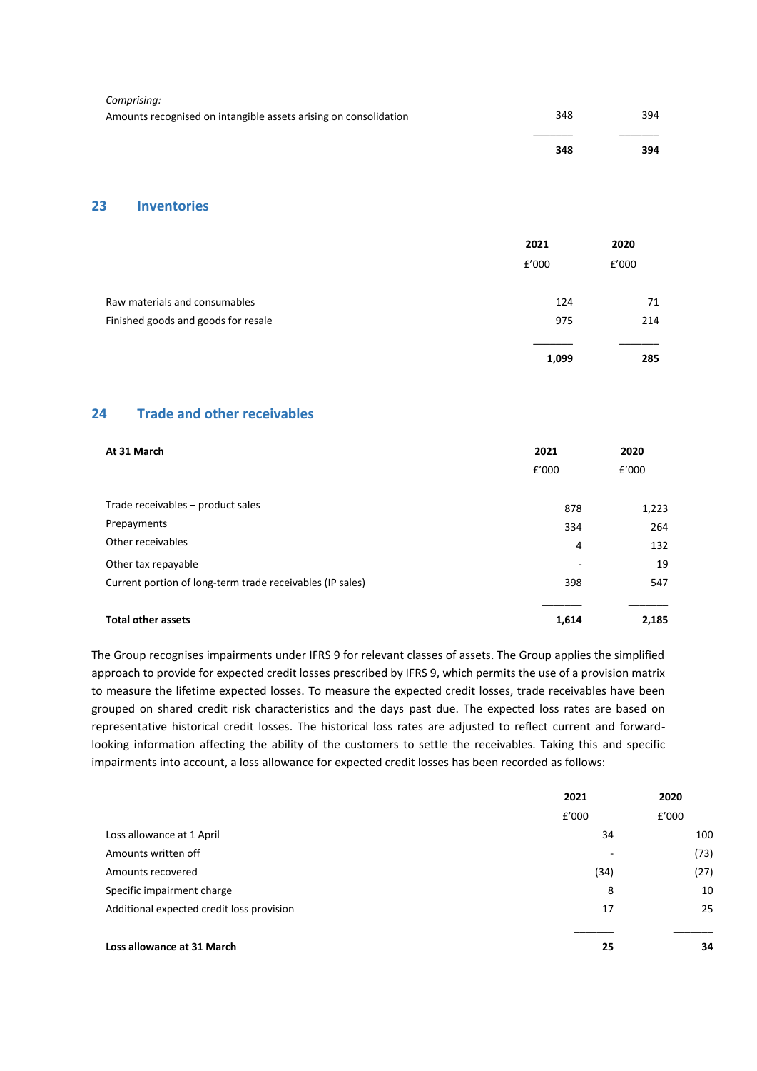|                                                                  | 348 | 394 |
|------------------------------------------------------------------|-----|-----|
| Amounts recognised on intangible assets arising on consolidation | 348 | 394 |
| Comprising:                                                      |     |     |

### **23 Inventories**

|                                     | 2021<br>f'000 | 2020<br>£'000 |
|-------------------------------------|---------------|---------------|
| Raw materials and consumables       | 124           | 71            |
| Finished goods and goods for resale | 975           | 214           |
|                                     | 1,099         | 285           |

# **24 Trade and other receivables**

| At 31 March                                               | 2021  | 2020  |
|-----------------------------------------------------------|-------|-------|
|                                                           | f'000 | £'000 |
|                                                           |       |       |
| Trade receivables – product sales                         | 878   | 1,223 |
| Prepayments                                               | 334   | 264   |
| Other receivables                                         | 4     | 132   |
| Other tax repayable                                       |       | 19    |
| Current portion of long-term trade receivables (IP sales) | 398   | 547   |
|                                                           |       |       |
| <b>Total other assets</b>                                 | 1,614 | 2,185 |

The Group recognises impairments under IFRS 9 for relevant classes of assets. The Group applies the simplified approach to provide for expected credit losses prescribed by IFRS 9, which permits the use of a provision matrix to measure the lifetime expected losses. To measure the expected credit losses, trade receivables have been grouped on shared credit risk characteristics and the days past due. The expected loss rates are based on representative historical credit losses. The historical loss rates are adjusted to reflect current and forwardlooking information affecting the ability of the customers to settle the receivables. Taking this and specific impairments into account, a loss allowance for expected credit losses has been recorded as follows:

|                                           | 2021  | 2020  |
|-------------------------------------------|-------|-------|
|                                           | £'000 | £'000 |
| Loss allowance at 1 April                 | 34    | 100   |
| Amounts written off                       | ۰     | (73)  |
| Amounts recovered                         | (34)  | (27)  |
| Specific impairment charge                | 8     | 10    |
| Additional expected credit loss provision | 17    | 25    |
|                                           |       |       |
| Loss allowance at 31 March                | 25    | 34    |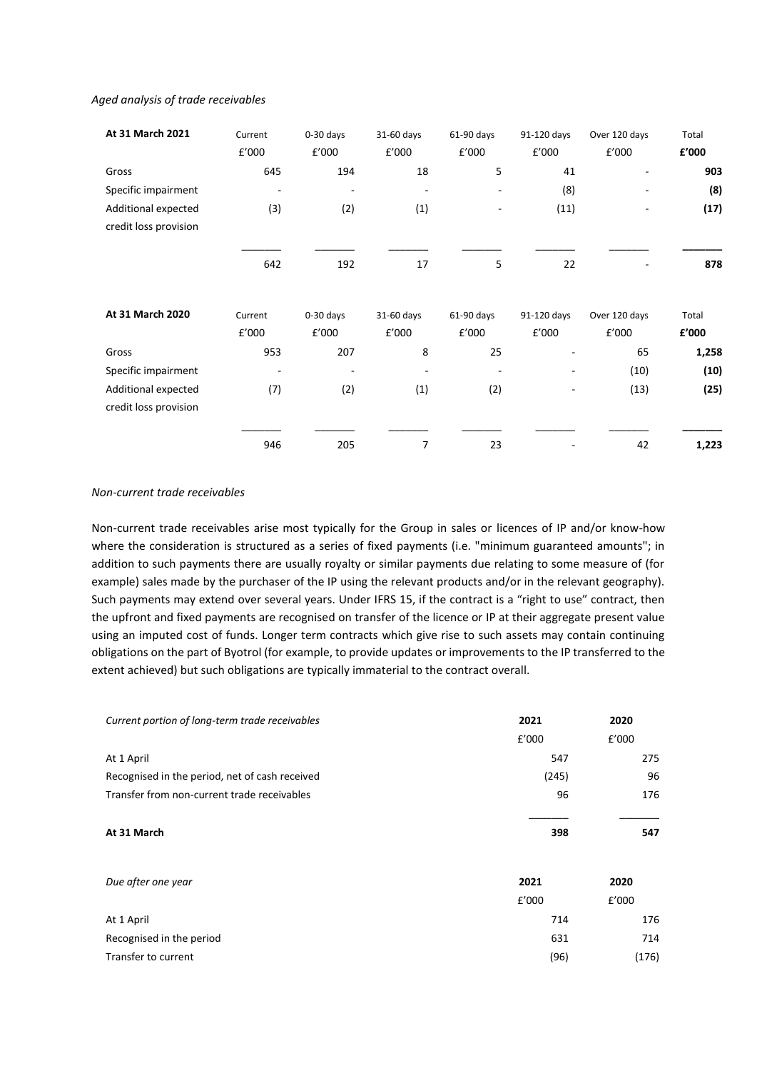#### *Aged analysis of trade receivables*

| At 31 March 2021      | Current | $0-30$ days              | 31-60 days     | 61-90 days | 91-120 days              | Over 120 days | Total |
|-----------------------|---------|--------------------------|----------------|------------|--------------------------|---------------|-------|
|                       | £'000   | £'000                    | £'000          | £'000      | £'000                    | £'000         | £'000 |
| Gross                 | 645     | 194                      | 18             | 5          | 41                       | ٠             | 903   |
| Specific impairment   | ٠       | ٠                        |                | ٠          | (8)                      | -             | (8)   |
| Additional expected   | (3)     | (2)                      | (1)            |            | (11)                     |               | (17)  |
| credit loss provision |         |                          |                |            |                          |               |       |
|                       |         |                          |                |            |                          |               |       |
|                       | 642     | 192                      | 17             | 5          | 22                       |               | 878   |
| At 31 March 2020      | Current | $0-30$ days              | 31-60 days     | 61-90 days | 91-120 days              | Over 120 days | Total |
|                       | £'000   | £'000                    | £'000          | £'000      | £'000                    | £'000         | £'000 |
| Gross                 | 953     | 207                      | 8              | 25         |                          | 65            | 1,258 |
| Specific impairment   | ٠       | $\overline{\phantom{a}}$ |                |            |                          | (10)          | (10)  |
| Additional expected   | (7)     | (2)                      | (1)            | (2)        | $\overline{\phantom{a}}$ | (13)          | (25)  |
| credit loss provision |         |                          |                |            |                          |               |       |
|                       |         |                          |                |            |                          |               |       |
|                       | 946     | 205                      | $\overline{7}$ | 23         |                          | 42            | 1,223 |

#### *Non-current trade receivables*

Non-current trade receivables arise most typically for the Group in sales or licences of IP and/or know-how where the consideration is structured as a series of fixed payments (i.e. "minimum guaranteed amounts"; in addition to such payments there are usually royalty or similar payments due relating to some measure of (for example) sales made by the purchaser of the IP using the relevant products and/or in the relevant geography). Such payments may extend over several years. Under IFRS 15, if the contract is a "right to use" contract, then the upfront and fixed payments are recognised on transfer of the licence or IP at their aggregate present value using an imputed cost of funds. Longer term contracts which give rise to such assets may contain continuing obligations on the part of Byotrol (for example, to provide updates or improvements to the IP transferred to the extent achieved) but such obligations are typically immaterial to the contract overall.

| Current portion of long-term trade receivables | 2021  | 2020  |
|------------------------------------------------|-------|-------|
|                                                | f'000 | £'000 |
| At 1 April                                     | 547   | 275   |
| Recognised in the period, net of cash received | (245) | 96    |
| Transfer from non-current trade receivables    | 96    | 176   |
| At 31 March                                    | 398   | 547   |
| Due after one year                             | 2021  | 2020  |
|                                                | f'000 | £'000 |
| At 1 April                                     | 714   | 176   |
| Recognised in the period                       | 631   | 714   |
| Transfer to current                            | (96)  | (176) |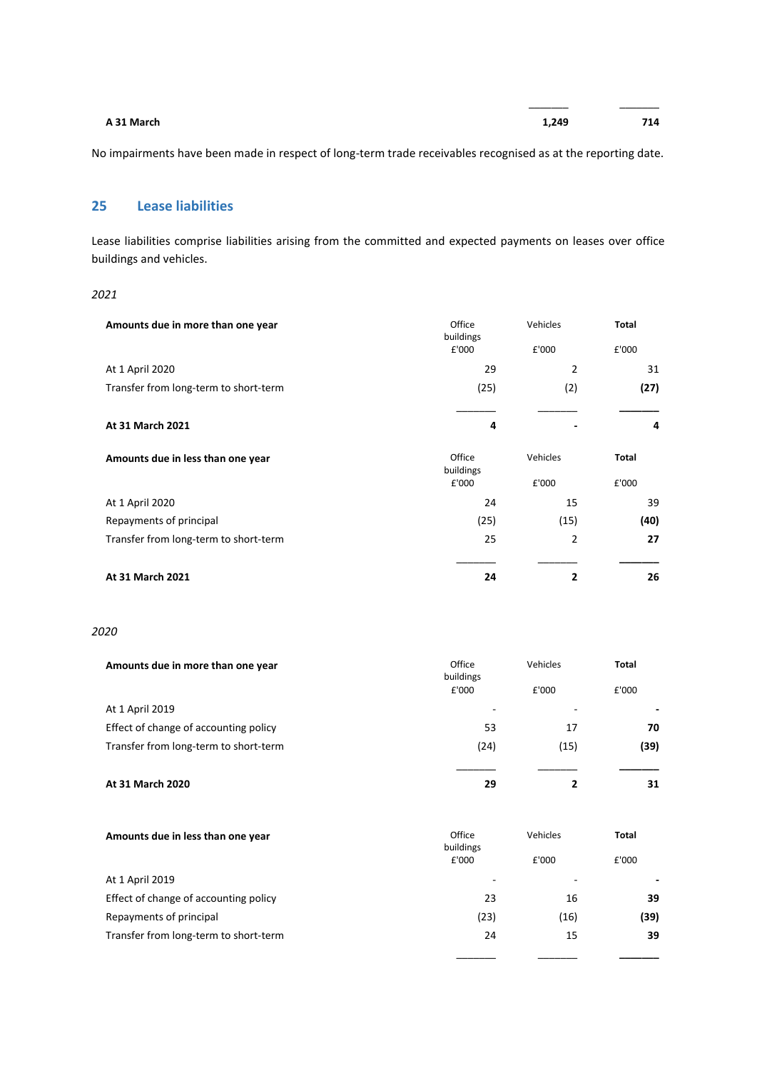| A 31 March | 1,249 | 714 |
|------------|-------|-----|
|            |       |     |

\_\_\_\_\_\_\_ \_\_\_\_\_\_\_

No impairments have been made in respect of long-term trade receivables recognised as at the reporting date.

# **25 Lease liabilities**

Lease liabilities comprise liabilities arising from the committed and expected payments on leases over office buildings and vehicles.

#### *2021*

| Amounts due in more than one year     | Office<br>buildings          | Vehicles          | Total                 |
|---------------------------------------|------------------------------|-------------------|-----------------------|
|                                       | £'000                        | £'000             | £'000                 |
| At 1 April 2020                       | 29                           | 2                 | 31                    |
| Transfer from long-term to short-term | (25)                         | (2)               | (27)                  |
| At 31 March 2021                      | 4                            |                   | 4                     |
| Amounts due in less than one year     | Office<br>buildings<br>£'000 | Vehicles<br>£'000 | <b>Total</b><br>£'000 |
| At 1 April 2020                       | 24                           | 15                | 39                    |
| Repayments of principal               | (25)                         | (15)              | (40)                  |
| Transfer from long-term to short-term | 25                           | 2                 | 27                    |
| At 31 March 2021                      | 24                           | 2                 | 26                    |

#### *2020*

| Office<br>Amounts due in more than one year<br>buildings<br>£'000 |      | Vehicles<br>£'000 | <b>Total</b><br>£'000 |
|-------------------------------------------------------------------|------|-------------------|-----------------------|
| At 1 April 2019                                                   | ۰    |                   |                       |
| Effect of change of accounting policy                             | 53   | 17                | 70                    |
| Transfer from long-term to short-term                             | (24) | (15)              | (39)                  |
| At 31 March 2020                                                  | 29   |                   | 31                    |

| Amounts due in less than one year     | Office<br>buildings | Vehicles | Total |
|---------------------------------------|---------------------|----------|-------|
|                                       | £'000               | £'000    | £'000 |
| At 1 April 2019                       | ۰                   | -        |       |
| Effect of change of accounting policy | 23                  | 16       | 39    |
| Repayments of principal               | (23)                | (16)     | (39)  |
| Transfer from long-term to short-term | 24                  | 15       | 39    |
|                                       |                     |          |       |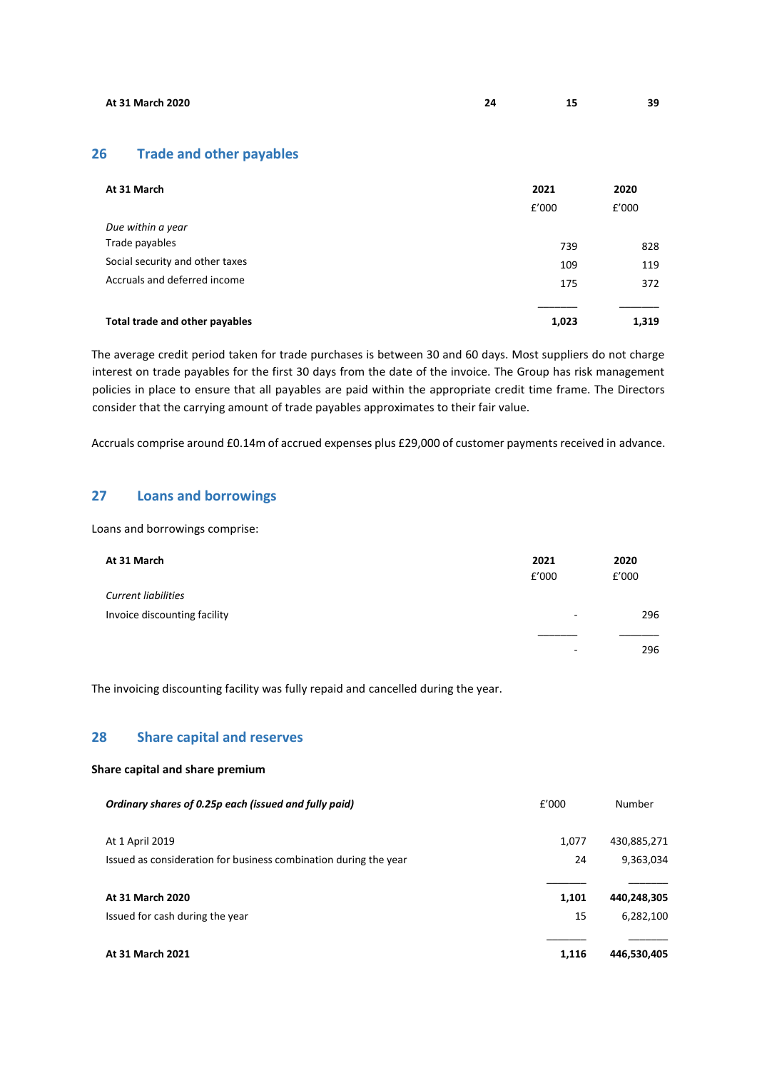**At 31 March 2020 24 15 39**

#### **26 Trade and other payables**

| At 31 March                     | 2021<br>£'000 | 2020<br>f'000 |
|---------------------------------|---------------|---------------|
| Due within a year               |               |               |
| Trade payables                  | 739           | 828           |
| Social security and other taxes | 109           | 119           |
| Accruals and deferred income    | 175           | 372           |
| Total trade and other payables  | 1,023         | 1.319         |

The average credit period taken for trade purchases is between 30 and 60 days. Most suppliers do not charge interest on trade payables for the first 30 days from the date of the invoice. The Group has risk management policies in place to ensure that all payables are paid within the appropriate credit time frame. The Directors consider that the carrying amount of trade payables approximates to their fair value.

Accruals comprise around £0.14m of accrued expenses plus £29,000 of customer payments received in advance.

# **27 Loans and borrowings**

Loans and borrowings comprise:

| At 31 March                  | 2021                     | 2020  |
|------------------------------|--------------------------|-------|
|                              | £'000                    | £'000 |
| <b>Current liabilities</b>   |                          |       |
| Invoice discounting facility | $\overline{\phantom{a}}$ | 296   |
|                              |                          |       |
|                              | $\overline{\phantom{a}}$ | 296   |

The invoicing discounting facility was fully repaid and cancelled during the year.

# **28 Share capital and reserves**

#### **Share capital and share premium**

| Ordinary shares of 0.25p each (issued and fully paid)            | f'000 | Number      |
|------------------------------------------------------------------|-------|-------------|
| At 1 April 2019                                                  | 1,077 | 430,885,271 |
| Issued as consideration for business combination during the year | 24    | 9,363,034   |
| At 31 March 2020                                                 | 1,101 | 440,248,305 |
| Issued for cash during the year                                  | 15    | 6,282,100   |
| At 31 March 2021                                                 | 1,116 | 446,530,405 |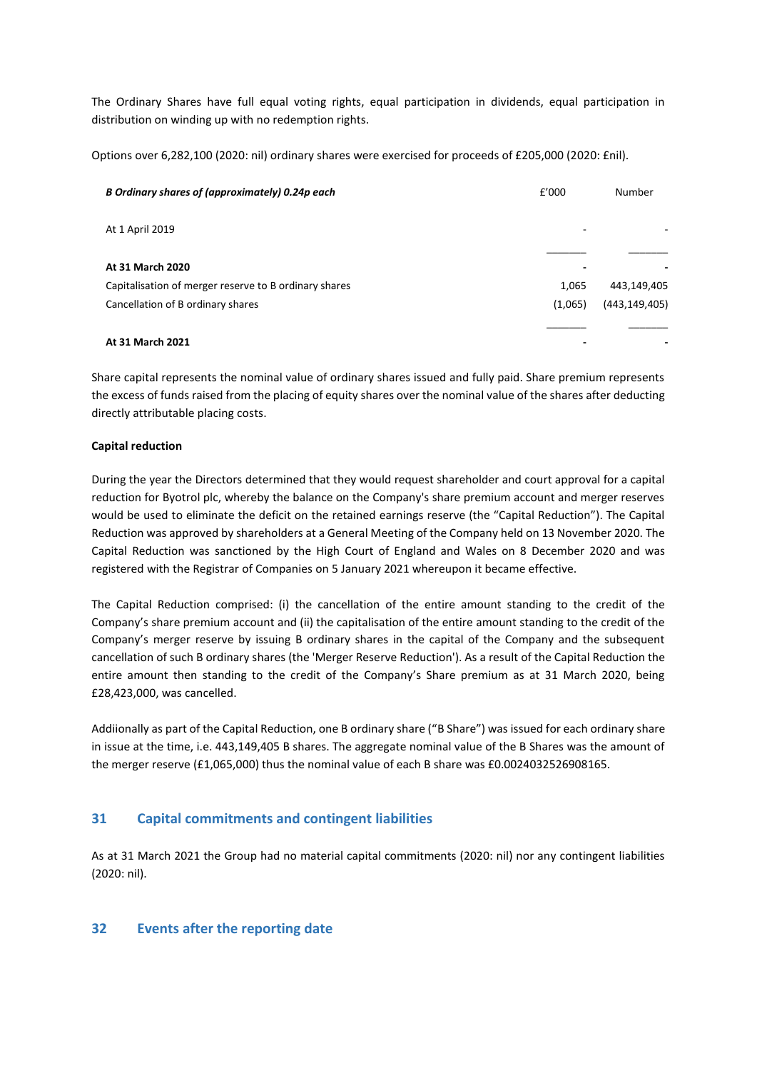The Ordinary Shares have full equal voting rights, equal participation in dividends, equal participation in distribution on winding up with no redemption rights.

Options over 6,282,100 (2020: nil) ordinary shares were exercised for proceeds of £205,000 (2020: £nil).

| B Ordinary shares of (approximately) 0.24p each       | f'000   | Number          |
|-------------------------------------------------------|---------|-----------------|
| At 1 April 2019                                       |         |                 |
| At 31 March 2020                                      |         |                 |
| Capitalisation of merger reserve to B ordinary shares | 1,065   | 443,149,405     |
| Cancellation of B ordinary shares                     | (1,065) | (443, 149, 405) |
| At 31 March 2021                                      |         |                 |

Share capital represents the nominal value of ordinary shares issued and fully paid. Share premium represents the excess of funds raised from the placing of equity shares over the nominal value of the shares after deducting directly attributable placing costs.

### **Capital reduction**

During the year the Directors determined that they would request shareholder and court approval for a capital reduction for Byotrol plc, whereby the balance on the Company's share premium account and merger reserves would be used to eliminate the deficit on the retained earnings reserve (the "Capital Reduction"). The Capital Reduction was approved by shareholders at a General Meeting of the Company held on 13 November 2020. The Capital Reduction was sanctioned by the High Court of England and Wales on 8 December 2020 and was registered with the Registrar of Companies on 5 January 2021 whereupon it became effective.

The Capital Reduction comprised: (i) the cancellation of the entire amount standing to the credit of the Company's share premium account and (ii) the capitalisation of the entire amount standing to the credit of the Company's merger reserve by issuing B ordinary shares in the capital of the Company and the subsequent cancellation of such B ordinary shares (the 'Merger Reserve Reduction'). As a result of the Capital Reduction the entire amount then standing to the credit of the Company's Share premium as at 31 March 2020, being £28,423,000, was cancelled.

Addiionally as part of the Capital Reduction, one B ordinary share ("B Share") was issued for each ordinary share in issue at the time, i.e. 443,149,405 B shares. The aggregate nominal value of the B Shares was the amount of the merger reserve (£1,065,000) thus the nominal value of each B share was £0.0024032526908165.

# **31 Capital commitments and contingent liabilities**

As at 31 March 2021 the Group had no material capital commitments (2020: nil) nor any contingent liabilities (2020: nil).

# **32 Events after the reporting date**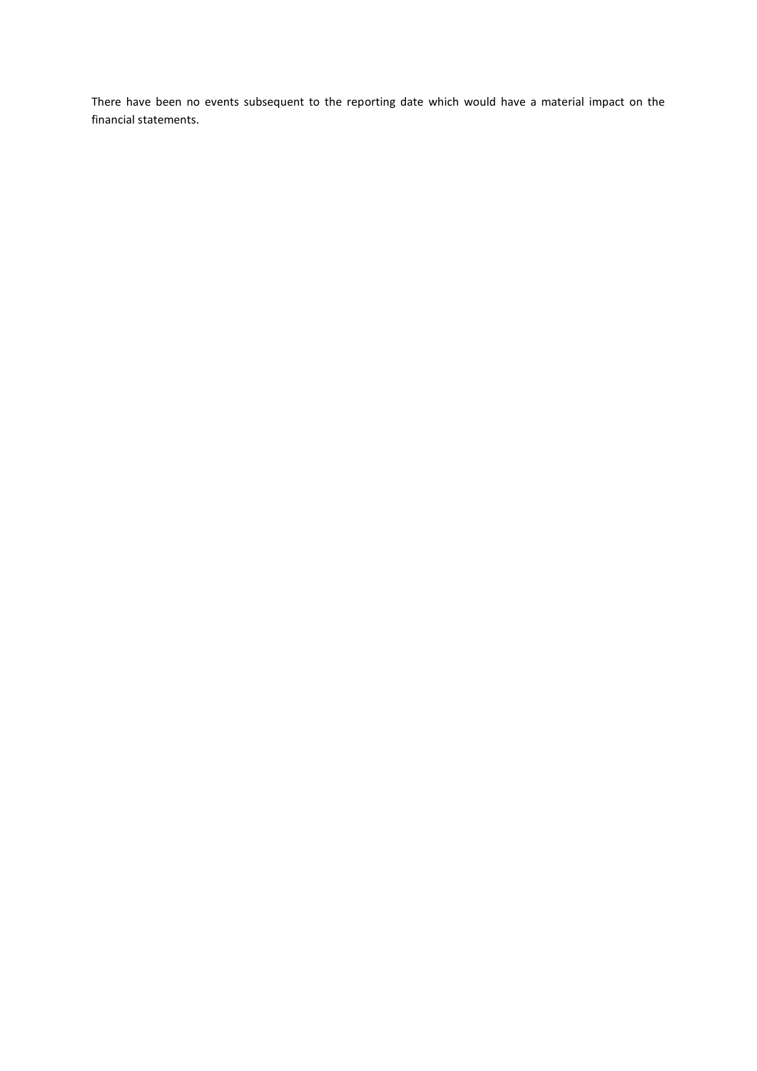There have been no events subsequent to the reporting date which would have a material impact on the financial statements.